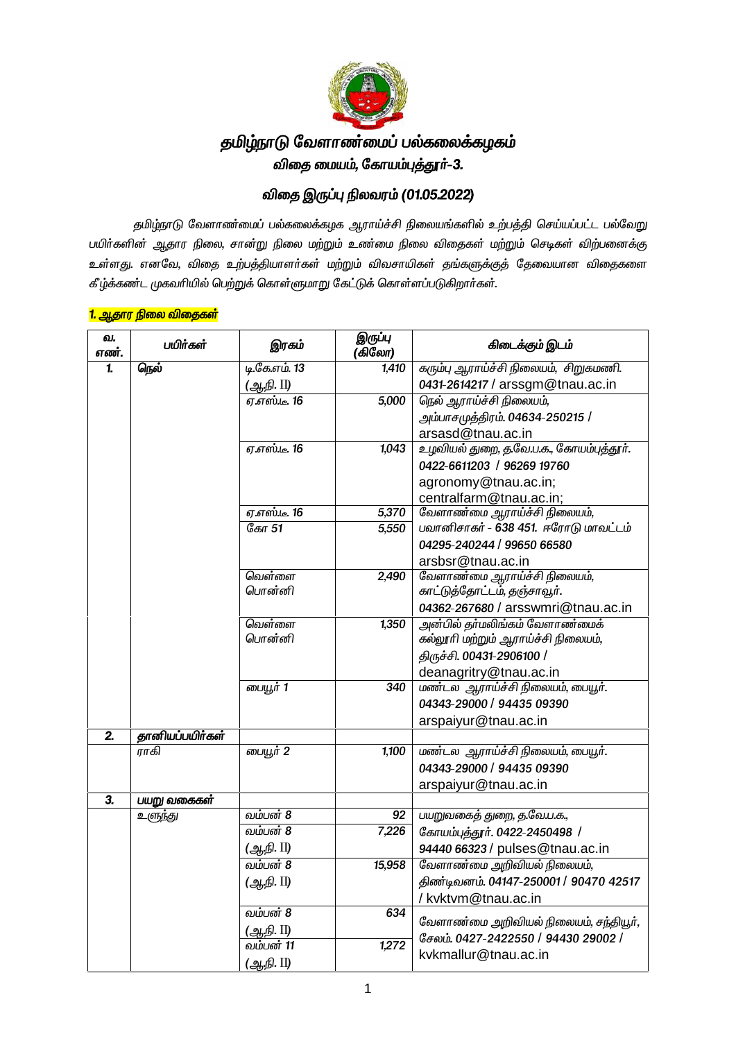

## தமிழ்நாடு வேளாண்மைப் பல்கலைக்கழகம் விதை மையம், கோயம்புத்தூர்–3.

## **tpij ,Ug;g[ epytuk; (01.05.2022)**

தமிழ்நாடு வேளாண்மைப் பல்கலைக்கழக ஆராய்ச்சி நிலையங்களில் உற்பத்தி செய்யப்பட்ட பல்வேறு பயிர்களின் ஆதார நிலை, சான்று நிலை மற்றும் உண்மை நிலை விதைகள் மற்றும் செடிகள் விற்பனைக்கு உள்ளது. எனவே, விதை உற்பத்தியாளா்கள் மற்றும் விவசாயிகள் தங்களுக்குத் தேவையான விதைகளை கீழ்க்கண்ட முகவரியில் பெற்றுக் கொள்ளுமாறு கேட்டுக் கொள்ளப்படுகிறாா்கள்.

| (கிலோ)                                                                            |  |
|-----------------------------------------------------------------------------------|--|
| டி.கே.எம். 13<br>கரும்பு ஆராய்ச்சி நிலையம், சிறுகமணி.<br>நெல்<br>1,410            |  |
| (ஆ.நி. II)<br>0431-2614217 / arssgm@tnau.ac.in                                    |  |
| <u>எ.எஸ்.டீ. 16</u><br>நெல் ஆராய்ச்சி நிலையம்,<br>5,000                           |  |
| அம்பாசமுத்திரம். 04634-250215 /                                                   |  |
| arsasd@tnau.ac.in                                                                 |  |
| உழவியல் துறை, த.வே.ப.க., கோயம்புத்தூர்.<br>1,043<br><i>ஏ.எஸ்.டீ.</i> 16           |  |
| 0422-6611203 / 96269 19760                                                        |  |
| agronomy@tnau.ac.in;                                                              |  |
| centralfarm@tnau.ac.in;                                                           |  |
| வேளாண்மை ஆராய்ச்சி நிலையம்,<br><u>ஏ.எஸ்.டீ. 16</u><br>5,370                       |  |
| கோ 51<br>பவானிசாகர் - 638 451. ஈரோடு மாவட்டம்<br>5,550                            |  |
| 04295-240244 / 99650 66580                                                        |  |
| arsbsr@tnau.ac.in                                                                 |  |
| வெள்ளை<br>வேளாண்மை ஆராய்ச்சி நிலையம்,<br>2,490                                    |  |
| பொன்னி<br>காட்டுத்தோட்டம், தஞ்சாவூர்.                                             |  |
| 04362-267680 / arsswmri@tnau.ac.in                                                |  |
| வெள்ளை<br>அன்பில் தா்மலிங்கம் வேளாண்மைக்<br>1,350                                 |  |
| பொன்னி<br>கல்லூரி மற்றும் ஆராய்ச்சி நிலையம்,                                      |  |
| திருச்சி. 00431-2906100 /                                                         |  |
| deanagritry@tnau.ac.in                                                            |  |
| பையூர் 1<br>மண்டல ஆராய்ச்சி நிலையம், பையூர்.<br>340                               |  |
| 04343-29000 / 94435 09390                                                         |  |
| arspaiyur@tnau.ac.in                                                              |  |
| தானியப்பயிர்கள்                                                                   |  |
| மண்டல ஆராய்ச்சி நிலையம், பையூர்.<br>பையூர் 2<br>ாாகி<br>1,100                     |  |
| 04343-29000 / 94435 09390                                                         |  |
| arspaiyur@tnau.ac.in                                                              |  |
| பயறு வகைகள்                                                                       |  |
| வம்பன் 8<br>பயறுவகைத் துறை, த.வே.ப.க.,<br>உளுந்து<br>92                           |  |
| வம்பன் 8<br>7,226<br>கோயம்புத்தூர். 0422-2450498 /                                |  |
| (ஆ.நி. II)<br>94440 66323 / pulses@tnau.ac.in                                     |  |
| வம்பன் 8<br>வேளாண்மை அறிவியல் நிலையம்,<br>15,958                                  |  |
| திண்டிவனம். 04147-250001 / 90470 42517<br>(ஆ.நி. II)                              |  |
| / kvktvm@tnau.ac.in                                                               |  |
| வம்பன் 8<br>634                                                                   |  |
| வேளாண்மை அறிவியல் நிலையம், சந்தியூர்,<br>(ஆநி. II)                                |  |
| சேலம். 0427-2422550 / 94430 29002 /<br>வம்பன் 11<br>1,272<br>kvkmallur@tnau.ac.in |  |
|                                                                                   |  |

#### <mark>1. ஆதார நிலை விதைகள்</mark>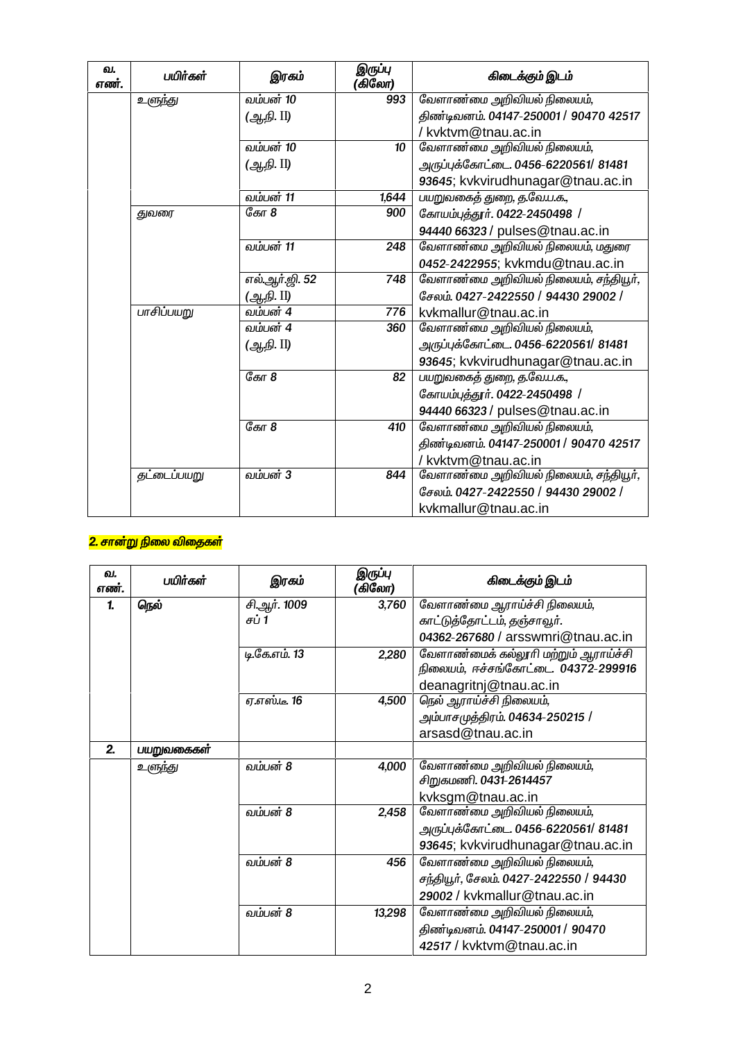| வ.<br>எண். | பயிர்கள்           | இரகம்          | இருப்பு<br>(கிலோ) | கிடைக்கும் இடம்                        |
|------------|--------------------|----------------|-------------------|----------------------------------------|
|            | உளுந்து            | வம்பன் 10      | 993               | வேளாண்மை அறிவியல் நிலையம்,             |
|            |                    | (ஆநி. II)      |                   | திண்டிவனம். 04147-250001 / 90470 42517 |
|            |                    |                |                   | /kvktvm@tnau.ac.in                     |
|            |                    | வம்பன் 10      | 10                | வேளாண்மை அறிவியல் நிலையம்,             |
|            |                    | (ஆ.நி. II)     |                   | அருப்புக்கோட்டை. 0456-6220561/ 81481   |
|            |                    |                |                   | 93645; kvkvirudhunagar@tnau.ac.in      |
|            |                    | வம்பன் 11      | 1,644             | பயறுவகைத் துறை, த.வே.ப.க.,             |
|            | துவரை              | தோ $8$         | 900               | கோயம்புத்தூர். 0422-2450498 /          |
|            |                    |                |                   | 94440 66323 / pulses@tnau.ac.in        |
|            |                    | வம்பன் 11      | 248               | வேளாண்மை அறிவியல் நிலையம், மதுரை       |
|            |                    |                |                   | 0452-2422955; kvkmdu@tnau.ac.in        |
|            |                    | எல்.ஆர்.ஜி. 52 | 748               | வேளாண்மை அறிவியல் நிலையம், சந்தியூர்,  |
|            |                    | (ஆநி. II)      |                   | சேலம். 0427-2422550 / 94430 29002 /    |
|            | பாசிப்பயறு         | வம்பன் 4       | 776               | kvkmallur@tnau.ac.in                   |
|            |                    | வம்பன் 4       | 360               | வேளாண்மை அறிவியல் நிலையம்,             |
|            |                    | (ஆ.நி. II)     |                   | அருப்புக்கோட்டை. 0456-6220561/ 81481   |
|            |                    |                |                   | 93645; kvkvirudhunagar@tnau.ac.in      |
|            |                    | தோ $8$         | 82                | பயறுவகைத் துறை, த.வே.ப.க.,             |
|            |                    |                |                   | கோயம்புத்தூர். 0422-2450498 /          |
|            |                    |                |                   | 94440 66323 / pulses@tnau.ac.in        |
|            |                    | தோ $8$         | 410               | வேளாண்மை அறிவியல் நிலையம்,             |
|            |                    |                |                   | திண்டிவனம். 04147-250001 / 90470 42517 |
|            |                    |                |                   | /kvktvm@tnau.ac.in                     |
|            | <i>தட்டைப்பயறு</i> | வம்பன் 3       | 844               | வேளாண்மை அறிவியல் நிலையம், சந்தியூர்,  |
|            |                    |                |                   | சேலம். 0427-2422550 / 94430 29002 /    |
|            |                    |                |                   | kvkmallur@tnau.ac.in                   |

# <mark>2. சான்று நிலை விதைகள்</mark>

| வ.<br>எண். | பயிர்கள்   | இரகம்               | இருப்பு<br>(கிலோ) | கிடைக்கும் இடம்                        |
|------------|------------|---------------------|-------------------|----------------------------------------|
| 1.         | நெல்       | சி.ஆர். 1009        | 3,760             | வேளாண்மை ஆராய்ச்சி நிலையம்,            |
|            |            | சப் 1               |                   | காட்டுத்தோட்டம், தஞ்சாவூர்.            |
|            |            |                     |                   | 04362-267680 / arsswmri@tnau.ac.in     |
|            |            | டி.கே.எம். 13       | 2,280             | வேளாண்மைக் கல்லூரி மற்றும் ஆராய்ச்சி   |
|            |            |                     |                   | நிலையம், ஈச்சங்கோட்டை. 04372-299916    |
|            |            |                     |                   | deanagritnj@tnau.ac.in                 |
|            |            | <i>ஏ.எஸ்.டீ.</i> 16 | 4,500             | நெல் ஆராய்ச்சி நிலையம்,                |
|            |            |                     |                   | அம்பாசமுத்திரம். 04634-250215 /        |
|            |            |                     |                   | arsasd@tnau.ac.in                      |
| 2.         | பயறுவகைகள் |                     |                   |                                        |
|            | உளுந்து    | வம்பன் 8            | 4,000             | வேளாண்மை அறிவியல் நிலையம்,             |
|            |            |                     |                   | சிறுகமணி. 0431-2614457                 |
|            |            |                     |                   | kvksgm@tnau.ac.in                      |
|            |            | வம்பன் 8            | 2,458             | வேளாண்மை அறிவியல் நிலையம்,             |
|            |            |                     |                   | அருப்புக்கோட்டை. 0456-6220561/ 81481   |
|            |            |                     |                   | 93645; kvkvirudhunagar@tnau.ac.in      |
|            |            | வம்பன் 8            | 456               | வேளாண்மை அறிவியல் நிலையம்,             |
|            |            |                     |                   | சந்தியூர், சேலம். 0427-2422550 / 94430 |
|            |            |                     |                   | 29002 / kvkmallur@tnau.ac.in           |
|            |            | வம்பன் 8            | 13,298            | வேளாண்மை அறிவியல் நிலையம்,             |
|            |            |                     |                   | திண்டிவனம். 04147-250001 / 90470       |
|            |            |                     |                   | 42517 / kyktym@tnau.ac.in              |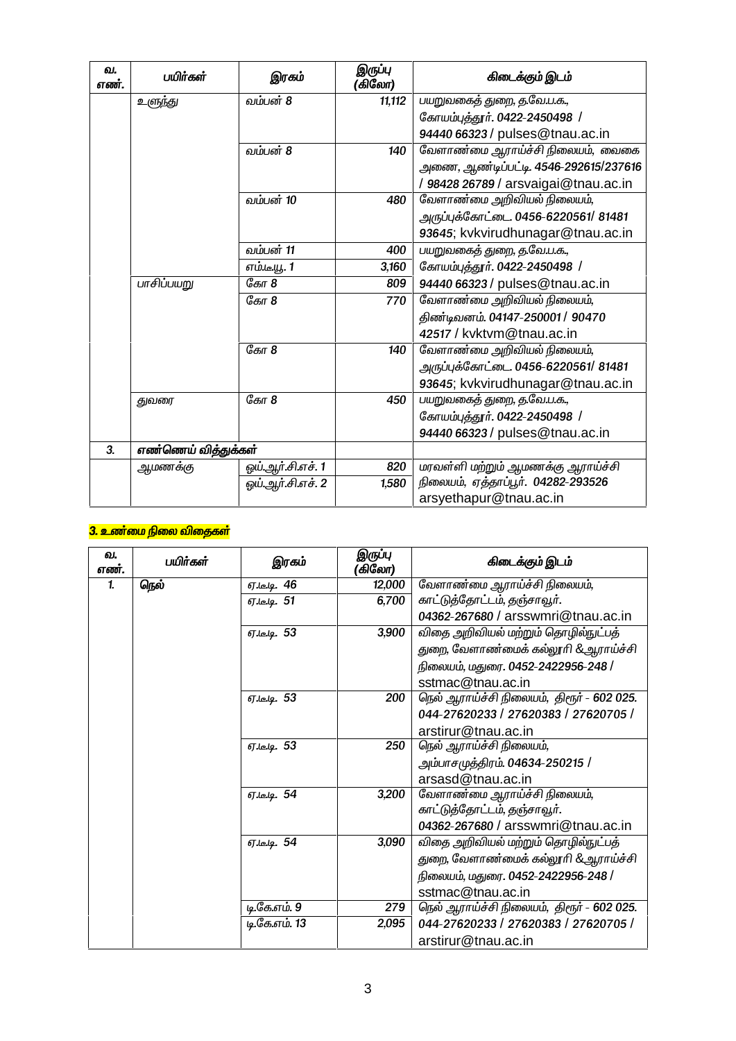| வ.<br>எண். | பயிர்கள்            | இரகம்             | இருப்பு<br>(கிலோ) | கிடைக்கும் இடம்                       |
|------------|---------------------|-------------------|-------------------|---------------------------------------|
|            | உளுந்து             | வம்பன் 8          | 11,112            | பயறுவகைத் துறை, த.வே.ப.க.,            |
|            |                     |                   |                   | கோயம்புத்தூர். 0422-2450498 /         |
|            |                     |                   |                   | 94440 66323 / pulses@tnau.ac.in       |
|            |                     | வம்பன் 8          | 140               | வேளாண்மை ஆராய்ச்சி நிலையம், வைகை      |
|            |                     |                   |                   | அணை, ஆண்டிப்பட்டி. 4546-292615/237616 |
|            |                     |                   |                   | / 98428 26789 / arsvaigai@tnau.ac.in  |
|            |                     | வம்பன் 10         | 480               | வேளாண்மை அறிவியல் நிலையம்,            |
|            |                     |                   |                   | அருப்புக்கோட்டை. 0456-6220561/ 81481  |
|            |                     |                   |                   | 93645; kvkvirudhunagar@tnau.ac.in     |
|            |                     | வம்பன் 11         | 400               | பயறுவகைத் துறை, த.வே.ப.க.,            |
|            |                     | எம்.டீயூ. 1       | 3,160             | கோயம்புத்தூர். 0422-2450498 /         |
|            | பாசிப்பயறு          | கோ 8              | 809               | 94440 66323 / pulses@tnau.ac.in       |
|            |                     | கோ 8              | 770               | வேளாண்மை அறிவியல் நிலையம்,            |
|            |                     |                   |                   | திண்டிவனம். 04147-250001 / 90470      |
|            |                     |                   |                   | 42517 / kvktvm@tnau.ac.in             |
|            |                     | கோ 8              | 140               | வேளாண்மை அறிவியல் நிலையம்,            |
|            |                     |                   |                   | அருப்புக்கோட்டை. 0456-6220561/ 81481  |
|            |                     |                   |                   | 93645; kvkvirudhunagar@tnau.ac.in     |
|            | துவரை               | கோ 8              | 450               | பயறுவகைத் துறை, த.வே.ப.க.,            |
|            |                     |                   |                   | கோயம்புத்தூர். 0422-2450498 /         |
|            |                     |                   |                   | 94440 66323 / pulses@tnau.ac.in       |
| 3.         | எண்ணெய் வித்துக்கள் |                   |                   |                                       |
|            | <u>ஆ</u> மணக்கு     | ஓய்.ஆர்.சி.எச். 1 | 820               | மரவள்ளி மற்றும் ஆமணக்கு ஆராய்ச்சி     |
|            |                     | ஒய்.ஆர்.சி.எச். 2 | 1,580             | நிலையம், ஏத்தாப்பூர். 04282-293526    |
|            |                     |                   |                   | arsyethapur@tnau.ac.in                |

### <mark>3. உண</mark>்மை நிலை விதைகள்</mark>

| வ.<br>எண்.   | பயிர்கள் | இரகம்              | இருப்பு<br>(கிலோ) | கிடைக்கும் இடம்                           |
|--------------|----------|--------------------|-------------------|-------------------------------------------|
| $\mathbf{1}$ | நெல்     | <u>ஏ.டே.டி.</u> 46 | 12,000            | வேளாண்மை ஆராய்ச்சி நிலையம்,               |
|              |          | ஏ.டீ.டி. 51        | 6,700             | காட்டுத்தோட்டம், தஞ்சாவூர்.               |
|              |          |                    |                   | 04362-267680 / arsswmri@tnau.ac.in        |
|              |          | ஏ.டி. 53           | 3,900             | விதை அறிவியல் மற்றும் தொழில்நுட்பத்       |
|              |          |                    |                   | துறை, வேளாண்மைக் கல்லூரி &ஆராய்ச்சி       |
|              |          |                    |                   | நிலையம், மதுரை. 0452-2422956-248 /        |
|              |          |                    |                   | sstmac@tnau.ac.in                         |
|              |          | ஏ.டீ.டி. 53        | 200               | நெல் ஆராய்ச்சி நிலையம், திரூர் - 602 025. |
|              |          |                    |                   | 044-27620233 / 27620383 / 27620705 /      |
|              |          |                    |                   | arstirur@tnau.ac.in                       |
|              |          | ஏ.டீ.டி. 53        | 250               | நெல் ஆராய்ச்சி நிலையம்,                   |
|              |          |                    |                   | அம்பாசமுத்திரம். 04634-250215 /           |
|              |          |                    |                   | arsasd@tnau.ac.in                         |
|              |          | 67 lelg. 54        | 3,200             | வேளாண்மை ஆராய்ச்சி நிலையம்,               |
|              |          |                    |                   | காட்டுத்தோட்டம், தஞ்சாவூர்.               |
|              |          |                    |                   | 04362-267680 / arsswmri@tnau.ac.in        |
|              |          | ஏ.டீ.டி. 54        | 3,090             | விதை அறிவியல் மற்றும் தொழில்நுட்பத்       |
|              |          |                    |                   | துறை, வேளாண்மைக் கல்லூரி &ஆராய்ச்சி       |
|              |          |                    |                   | நிலையம், மதுரை. 0452-2422956-248 /        |
|              |          |                    |                   | sstmac@tnau.ac.in                         |
|              |          | டி.கே.எம். 9       | 279               | நெல் ஆராய்ச்சி நிலையம், திரூர் - 602 025. |
|              |          | டி.கே.எம். 13      | 2,095             | 044-27620233 / 27620383 / 27620705 /      |
|              |          |                    |                   | arstirur@tnau.ac.in                       |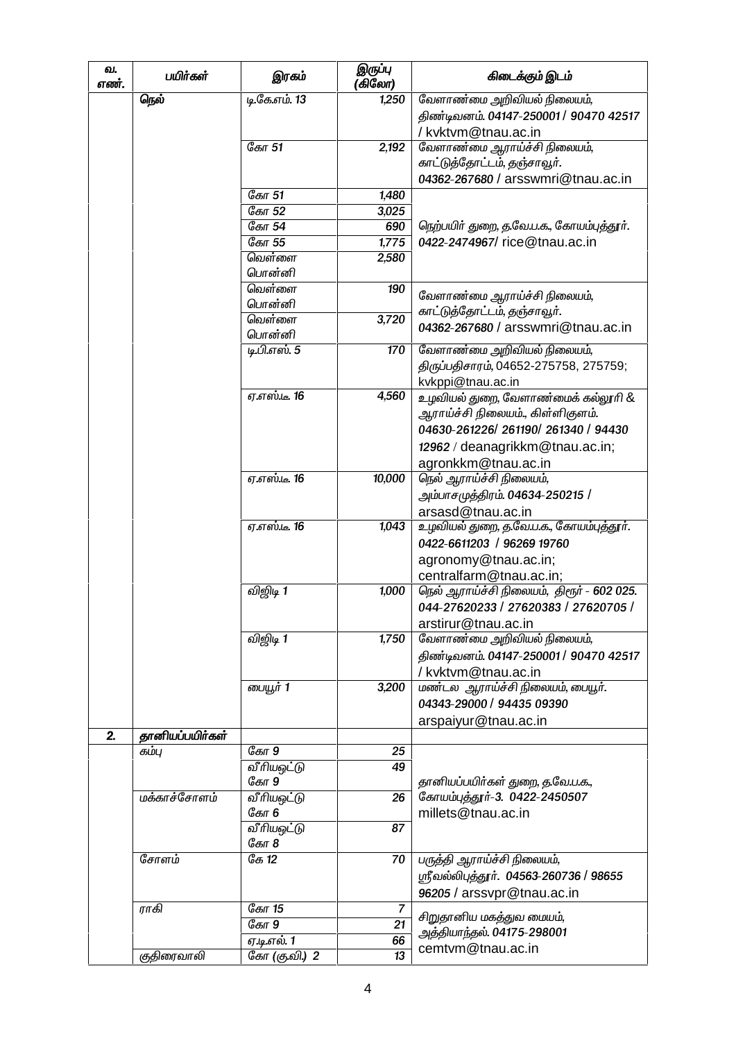| வ.<br>எண். | பயிர்கள்        | இரகம்                | இருப்பு<br>(கிலோ)    | கிடைக்கும் இடம்                           |
|------------|-----------------|----------------------|----------------------|-------------------------------------------|
|            | நெல்            | டி.கே.எம். 13        | 1,250                | வேளாண்மை அறிவியல் நிலையம்,                |
|            |                 |                      |                      | திண்டிவனம். 04147-250001 / 90470 42517    |
|            |                 |                      |                      | /kvktvm@tnau.ac.in                        |
|            |                 | கோ 51                | 2,192                | வேளாண்மை ஆராய்ச்சி நிலையம்,               |
|            |                 |                      |                      | காட்டுத்தோட்டம், தஞ்சாவூர்.               |
|            |                 |                      |                      | 04362-267680 / arsswmri@tnau.ac.in        |
|            |                 | கோ 51                | 1,480                |                                           |
|            |                 | கோ 52                | 3,025                |                                           |
|            |                 | கோ 54                | 690                  | நெற்பயிர் துறை, த.வே.ப.க., கோயம்புத்தூர். |
|            |                 | கோ 55                | 1,775                | 0422-2474967/rice@tnau.ac.in              |
|            |                 | வெள்ளை               | 2,580                |                                           |
|            |                 | பொன்னி               |                      |                                           |
|            |                 | வெள்ளை               | 190                  | வேளாண்மை ஆராய்ச்சி நிலையம்,               |
|            |                 | பொன்னி               |                      | காட்டுத்தோட்டம், தஞ்சாவூர்.               |
|            |                 | வெள்ளை               | 3,720                | 04362-267680 / arsswmri@tnau.ac.in        |
|            |                 | பொன்னி               |                      |                                           |
|            |                 | டி.பி.எஸ். 5         | 170                  | வேளாண்மை அறிவியல் நிலையம்,                |
|            |                 |                      |                      | திருப்பதிசாரம், 04652-275758, 275759;     |
|            |                 |                      |                      | kvkppi@tnau.ac.in                         |
|            |                 | <i>ஏ</i> .எஸ்.டீ. 16 | 4,560                | உழவியல் துறை, வேளாண்மைக் கல்லூரி &        |
|            |                 |                      |                      | ஆராய்ச்சி நிலையம்., கிள்ளிகுளம்.          |
|            |                 |                      |                      | 04630-261226/261190/261340 / 94430        |
|            |                 |                      |                      | 12962 / deanagrikkm@tnau.ac.in;           |
|            |                 |                      |                      | agronkkm@tnau.ac.in                       |
|            |                 | <i>ஏ.எஸ்.டீ.</i> 16  | 10,000               | நெல் ஆராய்ச்சி நிலையம்,                   |
|            |                 |                      |                      | அம்பாசமுத்திரம். 04634-250215 /           |
|            |                 |                      |                      | arsasd@tnau.ac.in                         |
|            |                 | <i>ஏ.எஸ்.டீ.</i> 16  | 1,043                | உழவியல் துறை, த.வே.ப.க., கோயம்புத்தூா்.   |
|            |                 |                      |                      | 0422-6611203 / 96269 19760                |
|            |                 |                      |                      | agronomy@tnau.ac.in;                      |
|            |                 |                      |                      | centralfarm@tnau.ac.in;                   |
|            |                 | விஜிடி 1             | 1,000                | நெல் ஆராய்ச்சி நிலையம், திரூர் - 602 025. |
|            |                 |                      |                      | 044-27620233 / 27620383 / 27620705 /      |
|            |                 |                      |                      | arstirur@tnau.ac.in                       |
|            |                 | விஜிடி 1             | 1,750                | வேளாண்மை அறிவியல் நிலையம்,                |
|            |                 |                      |                      | திண்டிவனம். 04147-250001 / 90470 42517    |
|            |                 |                      |                      | / kvktvm@tnau.ac.in                       |
|            |                 | பையூர் 1             | 3,200                | மண்டல ஆராய்ச்சி நிலையம், பையூர்.          |
|            |                 |                      |                      | 04343-29000 / 94435 09390                 |
|            |                 |                      |                      |                                           |
| 2.         | தானியப்பயிர்கள் |                      |                      | arspaiyur@tnau.ac.in                      |
|            | கம்பு           | கோ 9                 | 25                   |                                           |
|            |                 | வீரியஒட்டு           | 49                   |                                           |
|            |                 | கோ 9                 |                      | தானியப்பயிர்கள் துறை, த.வே.ப.க.,          |
|            | மக்காச்சோளம்    | வீரியஒட்டு           | 26                   | கோயம்புத்தூர்-3. 0422-2450507             |
|            |                 | கோ 6                 |                      | millets@tnau.ac.in                        |
|            |                 | வீரிய <u>ஒ</u> ட்டு  | 87                   |                                           |
|            | சோளம்           | கோ 8<br>கே 12        | 70                   | பருத்தி ஆராய்ச்சி நிலையம்,                |
|            |                 |                      |                      | ஸ்ரீவல்லிபுத்தூர். 04563-260736 / 98655   |
|            |                 |                      |                      | 96205 / arssvpr@tnau.ac.in                |
|            |                 |                      |                      |                                           |
|            | ராகி            | கோ 15<br>கோ 9        | $\overline{7}$<br>21 | சிறுதானிய மகத்துவ மையம்,                  |
|            |                 |                      |                      | அத்தியாந்தல். 04175-298001                |
|            |                 | ஏ.டி.எல். 1          | 66                   | cemtvm@tnau.ac.in                         |
|            | குதிரைவாலி      | கோ (கு.வி.) 2        | 13                   |                                           |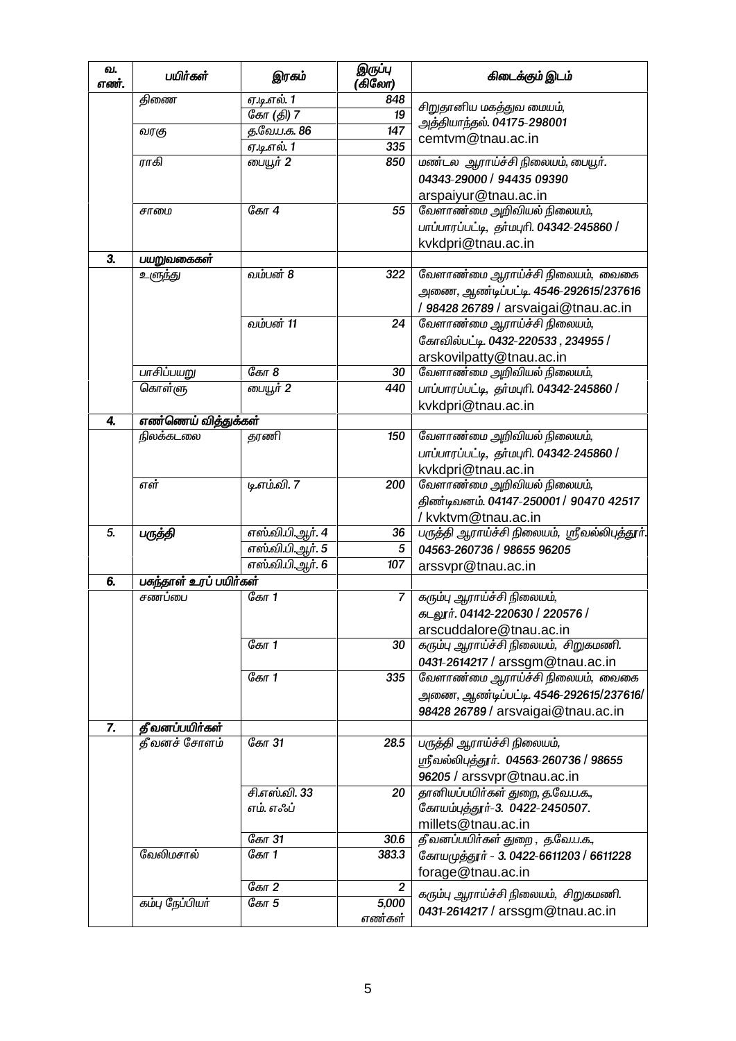| வ.<br>எண். | பயிர்கள்               | இரகம்                      | இருப்பு<br>(கிலோ) | கிடைக்கும் இடம்                               |
|------------|------------------------|----------------------------|-------------------|-----------------------------------------------|
|            | திணை                   | ஏ.டி.எல். 1                | 848               | சிறுதானிய மகத்துவ மையம்,                      |
|            |                        | கோ (தி) 7                  | 19                | அத்தியாந்தல். 04175-298001                    |
|            | வரகு                   | த.வே.ப.க. 86               | 147               | cemtvm@tnau.ac.in                             |
|            |                        | ஏ.டி.எல். 1                | 335               |                                               |
|            | ராகி                   | பையூர் 2                   | 850               | மண்டல ஆராய்ச்சி நிலையம், பையூர்.              |
|            |                        |                            |                   | 04343-29000 / 94435 09390                     |
|            |                        |                            |                   | arspaiyur@tnau.ac.in                          |
|            | சாமை                   | கோ 4                       | 55                | வேளாண்மை அறிவியல் நிலையம்,                    |
|            |                        |                            |                   | பாப்பாரப்பட்டி, தர்மபுரி. 04342-245860 /      |
|            |                        |                            |                   | kvkdpri@tnau.ac.in                            |
| 3.         | பயறுவகைகள்             |                            |                   |                                               |
|            | உளுந்து                | வம்பன் 8                   | 322               | வேளாண்மை ஆராய்ச்சி நிலையம், வைகை              |
|            |                        |                            |                   | அணை, ஆண்டிப்பட்டி. 4546-292615/237616         |
|            |                        |                            |                   | / 98428 26789 / arsvaigai@tnau.ac.in          |
|            |                        | வம்பன் 11                  | 24                | வேளாண்மை ஆராய்ச்சி நிலையம்,                   |
|            |                        |                            |                   | கோவில்பட்டி. 0432-220533, 234955 /            |
|            |                        |                            |                   | arskovilpatty@tnau.ac.in                      |
|            | பாசிப்பயறு             | கோ 8                       | 30                | வேளாண்மை அறிவியல் நிலையம்,                    |
|            | கொள்ளு                 | பையூர் 2                   | 440               | பாப்பாரப்பட்டி, தர்மபுரி. 04342-245860 /      |
|            |                        |                            |                   | kvkdpri@tnau.ac.in                            |
| 4.         | எண்ணெய் வித்துக்கள்    |                            |                   |                                               |
|            | நிலக்கடலை              | தரணி                       | 150               | வேளாண்மை அறிவியல் நிலையம்,                    |
|            |                        |                            |                   | பாப்பாரப்பட்டி, தர்மபுரி. 04342-245860 /      |
|            |                        |                            |                   | kvkdpri@tnau.ac.in                            |
|            | எள்                    | டி.எம்.வி. 7               | 200               | வேளாண்மை அறிவியல் நிலையம்,                    |
|            |                        |                            |                   | திண்டிவனம். 04147-250001 / 90470 42517        |
|            |                        |                            |                   | / kvktvm@tnau.ac.in                           |
| 5.         | பருத்தி                | எஸ்வி.பி.ஆர். 4            | 36                | பருத்தி ஆராய்ச்சி நிலையம், ஸ்ரீவல்லிபுத்தூர். |
|            |                        | எஸ்வி.பி.ஆர். 5            | 5                 | 04563-260736 / 98655 96205                    |
|            |                        | எஸ்.வி.பி.ஆர். 6           | 107               | arssvpr@tnau.ac.in                            |
| 6.         | பகந்தாள் உரப் பயிர்கள் |                            |                   |                                               |
|            | சணப்பை                 | கோ 1                       | $\overline{7}$    | கரும்பு ஆராய்ச்சி நிலையம்,                    |
|            |                        |                            |                   | கடலூர். 04142-220630 / 220576 /               |
|            |                        |                            |                   | arscuddalore@tnau.ac.in                       |
|            |                        | ேகா $1$                    | 30                | கரும்பு ஆராய்ச்சி நிலையம், சிறுகமணி.          |
|            |                        |                            |                   | 0431-2614217 / arssgm@tnau.ac.in              |
|            |                        | கோ 1                       | 335               | வேளாண்மை ஆராய்ச்சி நிலையம், வைகை              |
|            |                        |                            |                   | அணை, ஆண்டிப்பட்டி. 4546-292615/237616/        |
|            |                        |                            |                   | 98428 26789 / arsvaigai@tnau.ac.in            |
| 7.         | தீவனப்பயிர்கள்         |                            |                   |                                               |
|            | தீவனச் சோளம்           | கோ 31                      | 28.5              | பருத்தி ஆராய்ச்சி நிலையம்,                    |
|            |                        |                            |                   | ஸ்ரீவல்லிபுத்தூர். 04563-260736 / 98655       |
|            |                        |                            |                   |                                               |
|            |                        |                            |                   | 96205 / arssvpr@tnau.ac.in                    |
|            |                        | சி.எஸ்.வி. 33<br>எம். எஃப் | 20                | தானியப்பயிர்கள் துறை, த.வே.ப.க.,              |
|            |                        |                            |                   | கோயம்புத்தூர்-3. 0422-2450507.                |
|            |                        |                            |                   | millets@tnau.ac.in                            |
|            | வேலிமசால்              | கோ 31                      | 30.6              | தீ வனப்பயிர்கள் துறை , த.வே.ப.க.,             |
|            |                        | கோ 1                       | 383.3             | கோயமுத்தூர் - 3. 0422-6611203 / 6611228       |
|            |                        |                            |                   | forage@tnau.ac.in                             |
|            |                        | கோ 2                       | $\overline{2}$    | கரும்பு ஆராய்ச்சி நிலையம், சிறுகமணி.          |
|            | கம்பு நேப்பியர்        | கோ 5                       | 5,000             | 0431-2614217 / arssgm@tnau.ac.in              |
|            |                        |                            | எண்கள்            |                                               |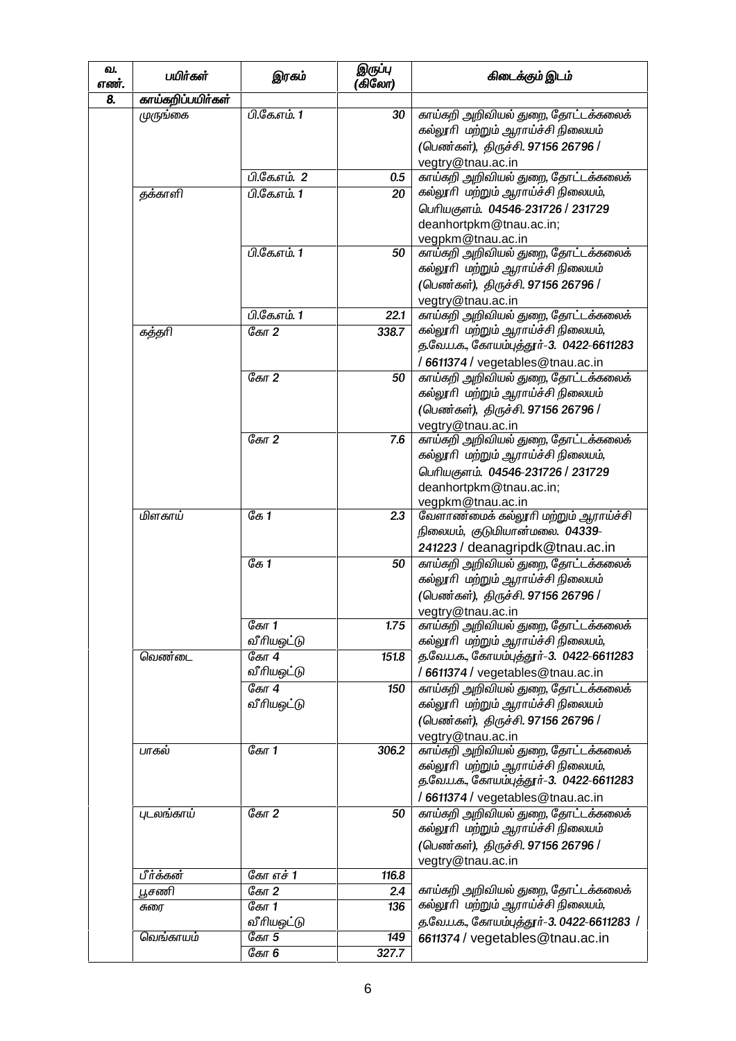| வ.<br>எண். | பயிர்கள்          | இரகம்                 | இருப்பு<br>(கிலோ) | கிடைக்கும் இடம்                                                                                                                                                        |
|------------|-------------------|-----------------------|-------------------|------------------------------------------------------------------------------------------------------------------------------------------------------------------------|
| 8.         | காய்கறிப்பயிர்கள் |                       |                   |                                                                                                                                                                        |
|            | முருங்கை          | பி.கே.எம். 1          | 30                | காய்கறி அறிவியல் துறை, தோட்டக்கலைக்<br>கல்லூரி மற்றும் ஆராய்ச்சி நிலையம்<br>(பெண்கள்), திருச்சி. 97156 26796 /<br>vegtry@tnau.ac.in                                    |
|            |                   | <u> பி.கே.எம். 2</u>  | 0.5               | காய்கறி அறிவியல் துறை, தோட்டக்கலைக்                                                                                                                                    |
|            | தக்காளி           | பி.கே.எம். 1          | 20                | கல்லூரி மற்றும் ஆராய்ச்சி நிலையம்,<br>பெரியகுளம். 04546-231726 / 231729<br>deanhortpkm@tnau.ac.in;                                                                     |
|            |                   | பி.கே.எம். 1          | 50                | vegpkm@tnau.ac.in<br>காய்கறி அறிவியல் துறை, தோட்டக்கலைக்<br>கல்லூரி மற்றும் ஆராய்ச்சி நிலையம்<br>(பெண்கள்), திருச்சி. 97156 26796 /                                    |
|            |                   | பி.கே.எம். 1          | 22.1              | vegtry@tnau.ac.in<br>காய்கறி அறிவியல் துறை, தோட்டக்கலைக்                                                                                                               |
|            | கத்தரி            | கோ 2                  | 338.7             | கல்லூரி மற்றும் ஆராய்ச்சி நிலையம்,<br>த.வே.ப.க., கோயம்புத்தூர்-3. 0422-6611283<br>/6611374 / vegetables@tnau.ac.in                                                     |
|            |                   | ேகா $2$               | 50                | காய்கறி அறிவியல் துறை, தோட்டக்கலைக்<br>கல்லூரி மற்றும் ஆராய்ச்சி நிலையம்<br>(பெண்கள்), திருச்சி. 97156 26796 /<br>vegtry@tnau.ac.in                                    |
|            |                   | கோ 2                  | 7.6               | காய்கறி அறிவியல் துறை, தோட்டக்கலைக்<br>கல்லூரி மற்றும் ஆராய்ச்சி நிலையம்,<br>பெரியகுளம். 04546-231726 / 231729<br>deanhortpkm@tnau.ac.in;                              |
|            | மிளகாய்           | ே $1$                 | 2.3               | vegpkm@tnau.ac.in<br>வேளாண்மைக் கல்லூரி மற்றும் ஆராய்ச்சி<br>நிலையம், குடுமியான்மலை. 04339-                                                                            |
|            |                   | ே $1$                 | 50                | 241223 / deanagripdk@tnau.ac.in<br>காய்கறி அறிவியல் துறை, தோட்டக்கலைக்<br>கல்லூரி மற்றும் ஆராய்ச்சி நிலையம்<br>(பெண்கள்), திருச்சி. 97156 26796 /<br>vegtry@tnau.ac.in |
|            |                   | ேகா 1<br>வீரியஒட்டு   | 1.75              | காய்கறி அறிவியல் துறை, தோட்டக்கலைக்<br>கல்லூரி மற்றும் ஆராய்ச்சி நிலையம்,                                                                                              |
|            | வெண்டை            | கோ 4<br>வீரியஒட்டு    | 151.8             | த.வே.ப.க., கோயம்புத்தூர்-3. 0422-6611283<br>/6611374 / vegetables@tnau.ac.in                                                                                           |
|            |                   | ேகா $4$<br>வீரியஒட்டு | 150               | காய்கறி அறிவியல் துறை, தோட்டக்கலைக்<br>கல்லூரி மற்றும் ஆராய்ச்சி நிலையம்<br>(பெண்கள்), திருச்சி. 97156 26796 /<br>vegtry@tnau.ac.in                                    |
|            | பாகல்             | கோ 1                  | 306.2             | காய்கறி அறிவியல் துறை, தோட்டக்கலைக்<br>கல்லூரி மற்றும் ஆராய்ச்சி நிலையம்,<br>த.வே.ப.க., கோயம்புத்தூர்-3. 0422-6611283<br>/ 6611374 / vegetables@tnau.ac.in             |
|            | புடலங்காய்        | ேகா $2$               | 50                | காய்கறி அறிவியல் துறை, தோட்டக்கலைக்<br>கல்லூரி மற்றும் ஆராய்ச்சி நிலையம்<br>(பெண்கள்), திருச்சி. 97156 26796 /<br>vegtry@tnau.ac.in                                    |
|            | பீர்க்கன்         | கோ எச் 1              | 116.8             |                                                                                                                                                                        |
|            | பூசணி             | ேகா 2                 | 2.4               | காய்கறி அறிவியல் துறை, தோட்டக்கலைக்                                                                                                                                    |
|            | சுரை              | கோ 1<br>வீரியஒட்டு    | 136               | கல்லூரி மற்றும் ஆராய்ச்சி நிலையம்,<br>த.வே.ப.க., கோயம்புத்தூர்-3. 0422-6611283 /                                                                                       |
|            | வெங்காயம்         | கோ 5                  | 149               | 6611374 / vegetables@tnau.ac.in                                                                                                                                        |
|            |                   | கோ 6                  | 327.7             |                                                                                                                                                                        |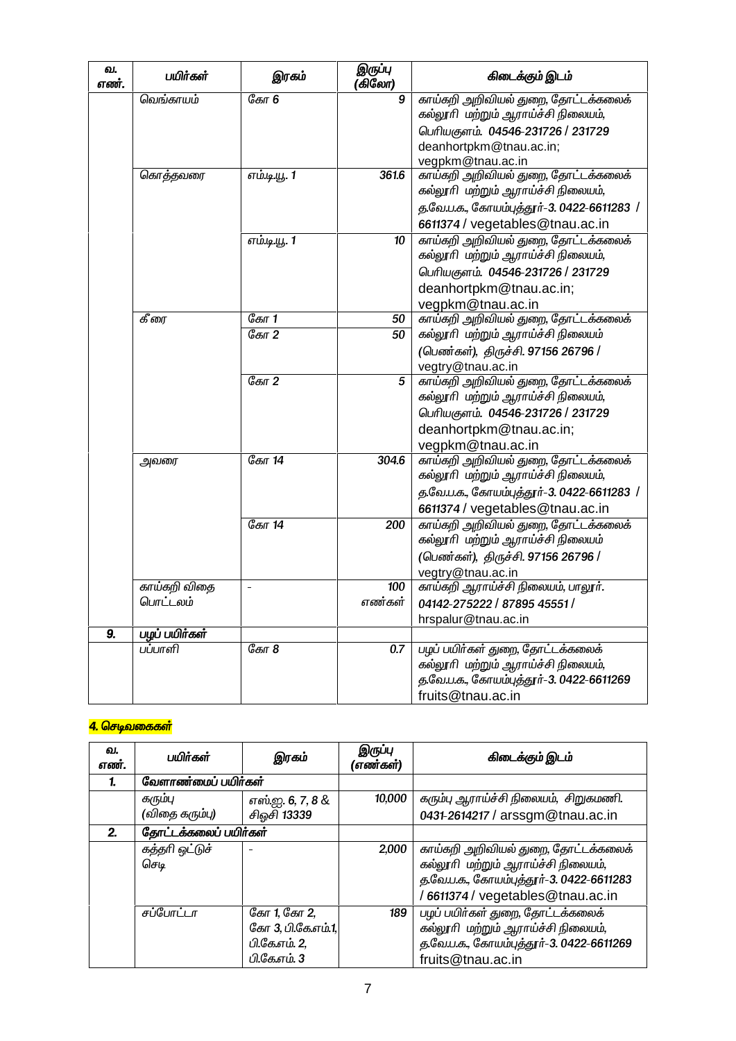| வ.<br>எண்.       | பயிர்கள்                 | இரகம்              | இருப்பு<br>(கிலோ) | கிடைக்கும் இடம்                                                                                                                                                |
|------------------|--------------------------|--------------------|-------------------|----------------------------------------------------------------------------------------------------------------------------------------------------------------|
|                  | வெங்காயம்                | <i>கோ</i> 6        | 9                 | காய்கறி அறிவியல் துறை, தோட்டக்கலைக்<br>கல்லூரி மற்றும் ஆராய்ச்சி நிலையம்,<br>பெரியகுளம். 04546-231726 / 231729<br>deanhortpkm@tnau.ac.in;<br>vegpkm@tnau.ac.in |
|                  | கொத்தவரை                 | எம்.டி.யூ. 1       | 361.6             | காய்கறி அறிவியல் துறை, தோட்டக்கலைக்<br>கல்லூரி மற்றும் ஆராய்ச்சி நிலையம்,<br>த.வே.ப.க., கோயம்புத்தூர்-3. 0422-6611283 /<br>6611374 / vegetables@tnau.ac.in     |
|                  |                          | எம்.டி.யூ. 1       | 10                | காய்கறி அறிவியல் துறை, தோட்டக்கலைக்<br>கல்லூரி மற்றும் ஆராய்ச்சி நிலையம்,<br>பெரியகுளம். 04546-231726 / 231729<br>deanhortpkm@tnau.ac.in;<br>vegpkm@tnau.ac.in |
|                  | கீரை                     | ேகா $1$<br>ேகா $2$ | 50<br>50          | காய்கறி அறிவியல் துறை, தோட்டக்கலைக்<br>கல்லூரி மற்றும் ஆராய்ச்சி நிலையம்<br>(பெண்கள்), திருச்சி. 97156 26796 /<br>vegtry@tnau.ac.in                            |
|                  |                          | ேகா $2$            | 5                 | காய்கறி அறிவியல் துறை, தோட்டக்கலைக்<br>கல்லூரி மற்றும் ஆராய்ச்சி நிலையம்,<br>பெரியகுளம். 04546-231726 / 231729<br>deanhortpkm@tnau.ac.in;<br>vegpkm@tnau.ac.in |
|                  | அவரை                     | கோ 14              | 304.6             | காய்கறி அறிவியல் துறை, தோட்டக்கலைக்<br>கல்லூரி மற்றும் ஆராய்ச்சி நிலையம்,<br>த.வே.ப.க., கோயம்புத்தூர்-3. 0422-6611283 /<br>6611374 / vegetables@tnau.ac.in     |
|                  |                          | கோ 14              | 200               | காய்கறி அறிவியல் துறை, தோட்டக்கலைக்<br>கல்லூரி மற்றும் ஆராய்ச்சி நிலையம்<br>(பெண்கள்), திருச்சி. 97156 26796 /<br>vegtry@tnau.ac.in                            |
|                  | காய்கறி விதை<br>பொட்டலம் | $\qquad \qquad -$  | 100<br>எண்கள்     | காய்கறி ஆராய்ச்சி நிலையம், பாலூர்.<br>04142-275222 / 87895 45551 /<br>hrspalur@tnau.ac.in                                                                      |
| $\overline{9}$ . | பழப் பயிர்கள்            |                    |                   |                                                                                                                                                                |
|                  | பப்பாளி                  | ேகா $8$            | 0.7               | பழப் பயிர்கள் துறை, தோட்டக்கலைக்<br>கல்லூரி மற்றும் ஆராய்ச்சி நிலையம்,<br>த.வே.ப.க., கோயம்பத்தூர்-3. 0422-6611269<br>fruits@tnau.ac.in                         |

#### <mark>4. செடிவகைகள்</mark>

| வ.<br>எண். | பயிர்கள்               | இரகம்                                                                     | இருப்பு<br>(எண்கள்) | கிடைக்கும் இடம்                                                                                                                                          |
|------------|------------------------|---------------------------------------------------------------------------|---------------------|----------------------------------------------------------------------------------------------------------------------------------------------------------|
|            | வேளாண்மைப் பயிர்கள்    |                                                                           |                     |                                                                                                                                                          |
|            | கரும்பு                | எஸ்ஐ. 6, 7, 8 &                                                           | 10,000              | கரும்பு ஆராய்ச்சி நிலையம், சிறுகமணி.                                                                                                                     |
|            | (விதை கரும்பு)         | சிஒசி 13339                                                               |                     | 0431-2614217 / arssgm@tnau.ac.in                                                                                                                         |
| 2.         | தோட்டக்கலைப் பயிர்கள்  |                                                                           |                     |                                                                                                                                                          |
|            | கத்தரி ஒட்டுச்<br>செடி | $\overline{\phantom{a}}$                                                  | 2,000               | காய்கறி அறிவியல் துறை, தோட்டக்கலைக்<br>கல்லூரி மற்றும் ஆராய்ச்சி நிலையம்,<br>த.வே.ப.க., கோயம்புத்தூர்-3. 0422-6611283<br>6611374 / vegetables@tnau.ac.in |
|            | சப்போட்டா              | கோ 1, கோ 2,<br><i>கோ</i> 3, பி.கே.எம்.1,<br>பி.கே.எம். 2,<br>பி.கே.எம். 3 | 189                 | பழப் பயிர்கள் துறை, தோட்டக்கலைக்<br>கல்லூரி மற்றும் ஆராய்ச்சி நிலையம்,<br>த.வே.ப.க., கோயம்புத்தூர்-3. 0422-6611269<br>fruits@tnau.ac.in                  |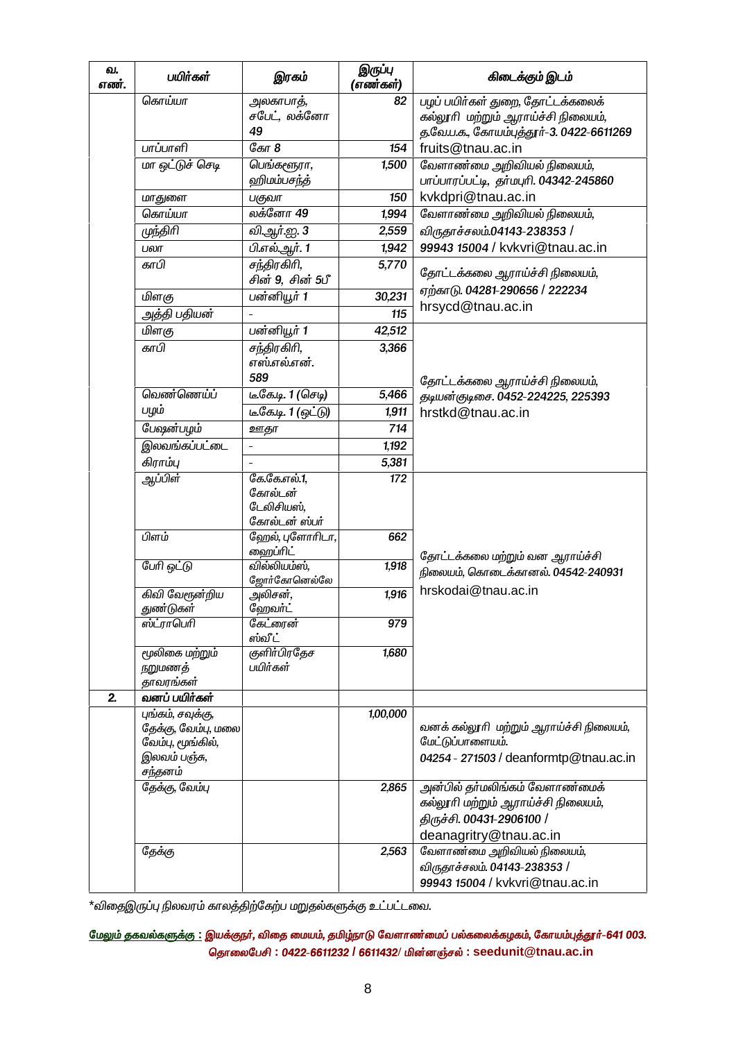| வ.<br>எண். | பயிர்கள்                                                                                 | இரகம்                                                  | இருப்பு<br>(எண்கள்) | கிடைக்கும் இடம்                                                                                                              |
|------------|------------------------------------------------------------------------------------------|--------------------------------------------------------|---------------------|------------------------------------------------------------------------------------------------------------------------------|
|            | கொய்யா                                                                                   | அலகாபாத்,<br>சபேட், லக்னோ                              | 82                  | பழப் பயிர்கள் துறை, தோட்டக்கலைக்<br>கல்லூரி மற்றும் ஆராய்ச்சி நிலையம்,                                                       |
|            | பாப்பாளி                                                                                 | 49<br>கோ 8                                             | 154                 | த.வே.ப.க., கோயம்புத்தூர்-3. 0422-6611269<br>fruits@tnau.ac.in                                                                |
|            | மா ஒட்டுச் செடி                                                                          | பெங்களூரா,                                             | 1,500               | வேளாண்மை அறிவியல் நிலையம்,                                                                                                   |
|            |                                                                                          | ஹிமம்பசந்த்                                            |                     | பாப்பாரப்பட்டி, தா்மபுரி. 04342-245860                                                                                       |
|            | மாதுளை                                                                                   | பகுவா                                                  | 150                 | kvkdpri@tnau.ac.in                                                                                                           |
|            | கொய்யா                                                                                   | லக்னோ 49                                               | 1,994               | வேளாண்மை அறிவியல் நிலையம்,                                                                                                   |
|            | முந்திரி                                                                                 | வி.ஆர்.ஐ. 3                                            | 2,559               | விருதாச்சலம்.04143-238353 /                                                                                                  |
|            | பலா                                                                                      | பி.எல்.ஆர். 1                                          | 1,942               | 99943 15004 / kvkvri@tnau.ac.in                                                                                              |
|            | காபி                                                                                     | சந்திரகிரி,<br>சின் 9, சின் 5பீ                        | 5,770               | தோட்டக்கலை ஆராய்ச்சி நிலையம்,                                                                                                |
|            | மிளகு                                                                                    | பன்னியூர் 1                                            | 30,231              | ஏற்காடு. 04281-290656 / 222234                                                                                               |
|            | அத்தி பதியன்                                                                             |                                                        | 115                 | hrsycd@tnau.ac.in                                                                                                            |
|            | மிளகு                                                                                    | பன்னியூர் 1                                            | 42,512              |                                                                                                                              |
|            | காபி                                                                                     | சந்திரகிரி,<br>எஸ்.எல்.என்.<br>589                     | 3,366               | தோட்டக்கலை ஆராய்ச்சி நிலையம்,                                                                                                |
|            | வெண்ணெய்ப்                                                                               | டீ.கே.டி. 1 (செடி)                                     | 5,466               | தடியன்குடிசை. 0452-224225, 225393                                                                                            |
|            | பழம்                                                                                     | டீ.கே.டி. 1 (ஒட்டு)                                    | 1,911               | hrstkd@tnau.ac.in                                                                                                            |
|            | பேஷன்பழம்                                                                                | ஊதா                                                    | 714                 |                                                                                                                              |
|            | இலவங்கப்பட்டை                                                                            | $\qquad \qquad -$                                      | 1,192               |                                                                                                                              |
|            | கிராம்பு                                                                                 |                                                        | 5,381               |                                                                                                                              |
|            | ஆப்பிள்                                                                                  | கே.கே.எல்.1,<br>கோல்டன்<br>டேலிசியஸ்,<br>கோல்டன் ஸ்பர் | 172                 |                                                                                                                              |
|            | பிளம்                                                                                    | ஹேல், புளோரிடா,<br><u> ஹைப்ரிட்</u>                    | 662                 | தோட்டக்கலை மற்றும் வன ஆராய்ச்சி                                                                                              |
|            | பேரி ஒட்டு                                                                               | வில்லியம்ஸ்,<br>ஜோர்கோனெல்லே                           | 1,918               | நிலையம், கொடைக்கானல். 04542-240931                                                                                           |
|            | கிவி வேரூன்றிய<br><i>துண்டுகள்</i>                                                       | அலிசன்,<br>ஹேவா்ட்                                     | 1,916               | hrskodai@tnau.ac.in                                                                                                          |
|            | ஸ்ட்ராபெரி                                                                               | கேட்ரைன்<br>ஸ்வீட்                                     | 979                 |                                                                                                                              |
|            | மூலிகை மற்றும்<br>நறுமணத்<br>தாவரங்கள்                                                   | குளிர்பிரதேச<br>பயிர்கள்                               | 1,680               |                                                                                                                              |
| 2.         | வனப் பயிர்கள்                                                                            |                                                        |                     |                                                                                                                              |
|            | புங்கம், சவுக்கு,<br>தேக்கு, வேம்பு, மலை<br>வேம்பு, மூங்கில்,<br>இலவம் பஞ்சு,<br>சந்தனம் |                                                        | 1,00,000            | வனக் கல்லூரி மற்றும் ஆராய்ச்சி நிலையம்,<br>மேட்டுப்பாளையம்.<br>04254 - 271503 / deanformtp@tnau.ac.in                        |
|            | தேக்கு, வேம்பு                                                                           |                                                        | 2,865               | அன்பில் தா்மலிங்கம் வேளாணா்மைக்<br>கல்லூரி மற்றும் ஆராய்ச்சி நிலையம்,<br>திருச்சி. 00431-2906100 /<br>deanagritry@tnau.ac.in |
|            | தேக்கு                                                                                   |                                                        | 2,563               | வேளாண்மை அறிவியல் நிலையம்,<br>விருதாச்சலம். 04143-238353 /<br>99943 15004 / kvkvri@tnau.ac.in                                |

 $^*$ விதைஇருப்பு நிலவரம் காலத்திற்கேற்ப மறுதல்களுக்கு உட்பட்டவை.

#### <u>மேலும் தகவல்களுக்கு :</u> இயக்குநர், விதை மையம், தமிழ்நாடு வேளாண்மைப் பல்கலைக்கழகம், கோயம்புத்தூர்–641 003. **bjhiyngrp : 0422-6611232 / 6611432/ kpd;d";ry;: seedunit@tnau.ac.in**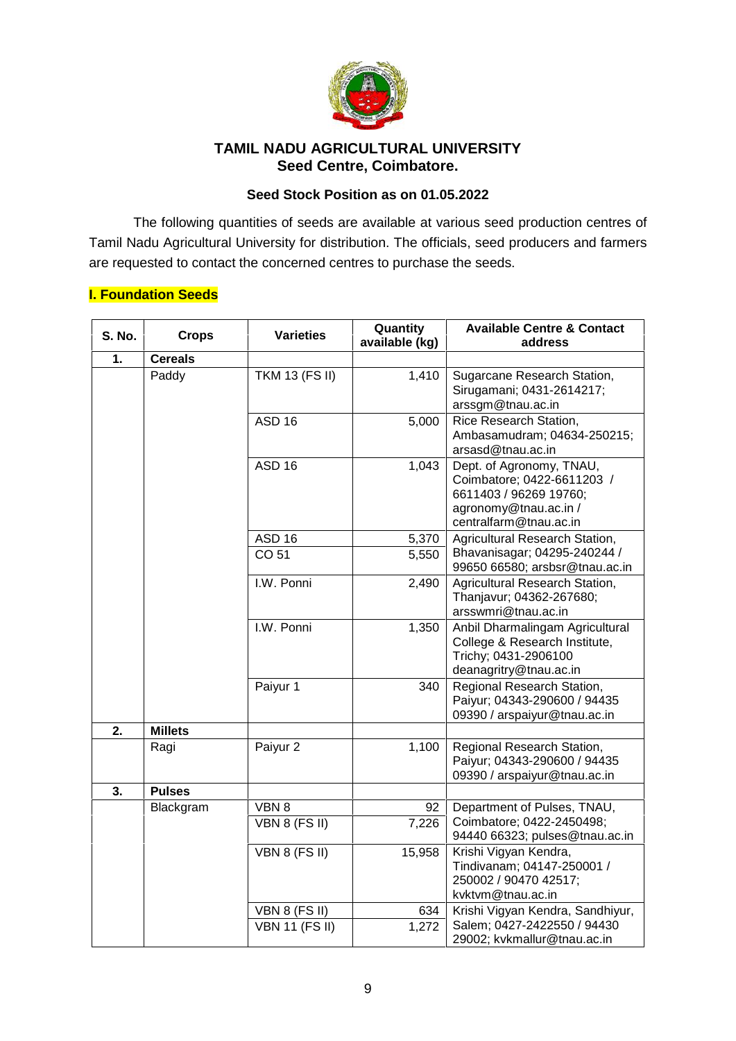

### **TAMIL NADU AGRICULTURAL UNIVERSITY Seed Centre, Coimbatore.**

#### **Seed Stock Position as on 01.05.2022**

The following quantities of seeds are available at various seed production centres of Tamil Nadu Agricultural University for distribution. The officials, seed producers and farmers are requested to contact the concerned centres to purchase the seeds.

#### **I. Foundation Seeds**

| <b>S. No.</b> | <b>Crops</b>   | <b>Varieties</b>      | Quantity<br>available (kg) | <b>Available Centre &amp; Contact</b><br>address                                                                                    |
|---------------|----------------|-----------------------|----------------------------|-------------------------------------------------------------------------------------------------------------------------------------|
| 1.            | <b>Cereals</b> |                       |                            |                                                                                                                                     |
|               | Paddy          | <b>TKM 13 (FS II)</b> | 1,410                      | Sugarcane Research Station,<br>Sirugamani; 0431-2614217;<br>arssgm@tnau.ac.in                                                       |
|               |                | <b>ASD 16</b>         | 5,000                      | Rice Research Station,<br>Ambasamudram; 04634-250215;<br>arsasd@tnau.ac.in                                                          |
|               |                | <b>ASD 16</b>         | 1,043                      | Dept. of Agronomy, TNAU,<br>Coimbatore; 0422-6611203 /<br>6611403 / 96269 19760;<br>agronomy@tnau.ac.in /<br>centralfarm@tnau.ac.in |
|               |                | <b>ASD 16</b>         | 5,370                      | Agricultural Research Station,                                                                                                      |
|               |                | CO 51                 | 5,550                      | Bhavanisagar; 04295-240244 /<br>99650 66580; arsbsr@tnau.ac.in                                                                      |
|               |                | I.W. Ponni            | 2,490                      | Agricultural Research Station,<br>Thanjavur; 04362-267680;<br>arsswmri@tnau.ac.in                                                   |
|               |                | I.W. Ponni            | 1,350                      | Anbil Dharmalingam Agricultural<br>College & Research Institute,<br>Trichy; 0431-2906100<br>deanagritry@tnau.ac.in                  |
|               |                | Paiyur 1              | 340                        | Regional Research Station,<br>Paiyur; 04343-290600 / 94435<br>09390 / arspaiyur@tnau.ac.in                                          |
| 2.            | <b>Millets</b> |                       |                            |                                                                                                                                     |
|               | Ragi           | Paiyur 2              | 1,100                      | Regional Research Station,<br>Paiyur; 04343-290600 / 94435<br>09390 / arspaiyur@tnau.ac.in                                          |
| 3.            | <b>Pulses</b>  |                       |                            |                                                                                                                                     |
|               | Blackgram      | VBN 8                 | 92                         | Department of Pulses, TNAU,                                                                                                         |
|               |                | VBN 8 (FS II)         | 7,226                      | Coimbatore; 0422-2450498;<br>94440 66323; pulses@tnau.ac.in                                                                         |
|               |                | VBN 8 (FS II)         | 15,958                     | Krishi Vigyan Kendra,<br>Tindivanam; 04147-250001 /<br>250002 / 90470 42517;<br>kvktvm@tnau.ac.in                                   |
|               |                | VBN 8 (FS II)         | 634                        | Krishi Vigyan Kendra, Sandhiyur,                                                                                                    |
|               |                | <b>VBN 11 (FS II)</b> | 1,272                      | Salem; 0427-2422550 / 94430<br>29002; kvkmallur@tnau.ac.in                                                                          |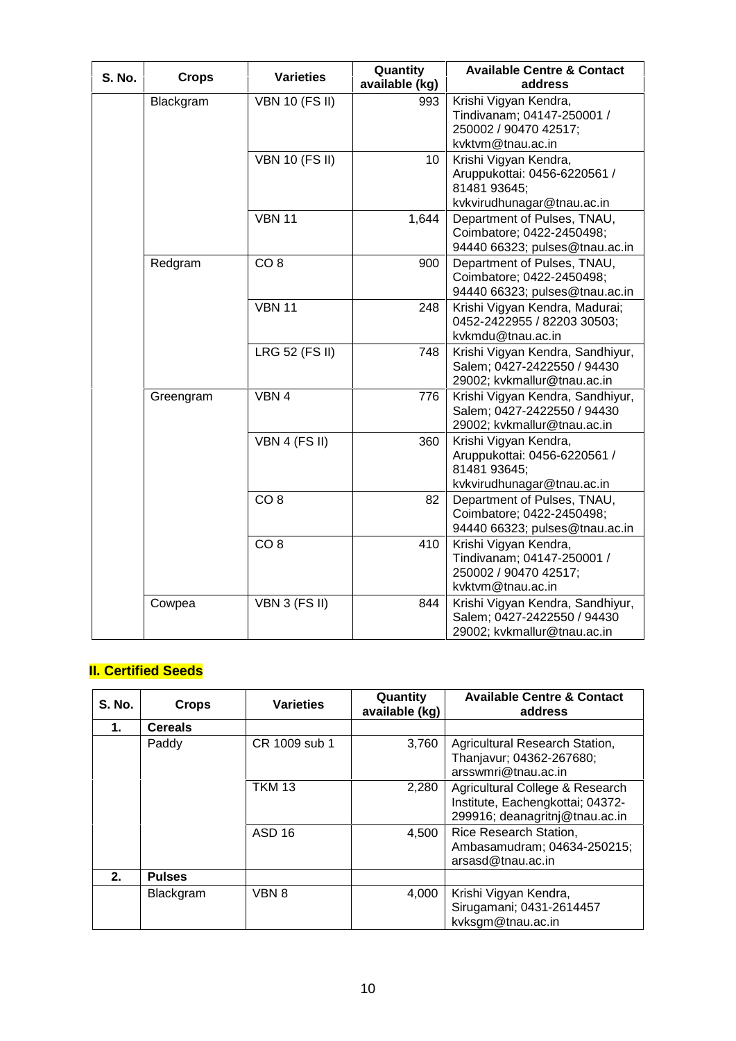| <b>S. No.</b> | <b>Crops</b> | <b>Varieties</b>      | Quantity<br>available (kg) | <b>Available Centre &amp; Contact</b><br>address                                                    |
|---------------|--------------|-----------------------|----------------------------|-----------------------------------------------------------------------------------------------------|
|               | Blackgram    | <b>VBN 10 (FS II)</b> | 993                        | Krishi Vigyan Kendra,<br>Tindivanam; 04147-250001 /<br>250002 / 90470 42517;<br>kvktvm@tnau.ac.in   |
|               |              | <b>VBN 10 (FS II)</b> | 10 <sup>°</sup>            | Krishi Vigyan Kendra,<br>Aruppukottai: 0456-6220561 /<br>81481 93645;<br>kvkvirudhunagar@tnau.ac.in |
|               |              | <b>VBN 11</b>         | 1,644                      | Department of Pulses, TNAU,<br>Coimbatore; 0422-2450498;<br>94440 66323; pulses@tnau.ac.in          |
|               | Redgram      | CO <sub>8</sub>       | 900                        | Department of Pulses, TNAU,<br>Coimbatore; 0422-2450498;<br>94440 66323; pulses@tnau.ac.in          |
|               |              | <b>VBN 11</b>         | 248                        | Krishi Vigyan Kendra, Madurai;<br>0452-2422955 / 82203 30503;<br>kvkmdu@tnau.ac.in                  |
|               |              | <b>LRG 52 (FS II)</b> | 748                        | Krishi Vigyan Kendra, Sandhiyur,<br>Salem; 0427-2422550 / 94430<br>29002; kvkmallur@tnau.ac.in      |
|               | Greengram    | VBN 4                 | 776                        | Krishi Vigyan Kendra, Sandhiyur,<br>Salem; 0427-2422550 / 94430<br>29002; kvkmallur@tnau.ac.in      |
|               |              | VBN 4 (FS II)         | 360                        | Krishi Vigyan Kendra,<br>Aruppukottai: 0456-6220561 /<br>81481 93645;<br>kvkvirudhunagar@tnau.ac.in |
|               |              | CO <sub>8</sub>       | 82                         | Department of Pulses, TNAU,<br>Coimbatore; 0422-2450498;<br>94440 66323; pulses@tnau.ac.in          |
|               |              | CO <sub>8</sub>       | 410                        | Krishi Vigyan Kendra,<br>Tindivanam; 04147-250001 /<br>250002 / 90470 42517;<br>kvktvm@tnau.ac.in   |
|               | Cowpea       | VBN 3 (FS II)         | 844                        | Krishi Vigyan Kendra, Sandhiyur,<br>Salem; 0427-2422550 / 94430<br>29002; kvkmallur@tnau.ac.in      |

## **II. Certified Seeds**

| <b>S. No.</b> | <b>Crops</b>   | <b>Varieties</b> | Quantity<br>available (kg) | <b>Available Centre &amp; Contact</b><br>address                                                      |
|---------------|----------------|------------------|----------------------------|-------------------------------------------------------------------------------------------------------|
| 1.            | <b>Cereals</b> |                  |                            |                                                                                                       |
|               | Paddy          | CR 1009 sub 1    | 3,760                      | Agricultural Research Station,<br>Thanjavur; 04362-267680;<br>arsswmri@tnau.ac.in                     |
|               |                | <b>TKM 13</b>    | 2,280                      | Agricultural College & Research<br>Institute, Eachengkottai; 04372-<br>299916; deanagritnj@tnau.ac.in |
|               |                | ASD 16           | 4.500                      | Rice Research Station,<br>Ambasamudram; 04634-250215;<br>arsasd@tnau.ac.in                            |
| 2.            | <b>Pulses</b>  |                  |                            |                                                                                                       |
|               | Blackgram      | VBN 8            | 4,000                      | Krishi Vigyan Kendra,<br>Sirugamani; 0431-2614457<br>kvksgm@tnau.ac.in                                |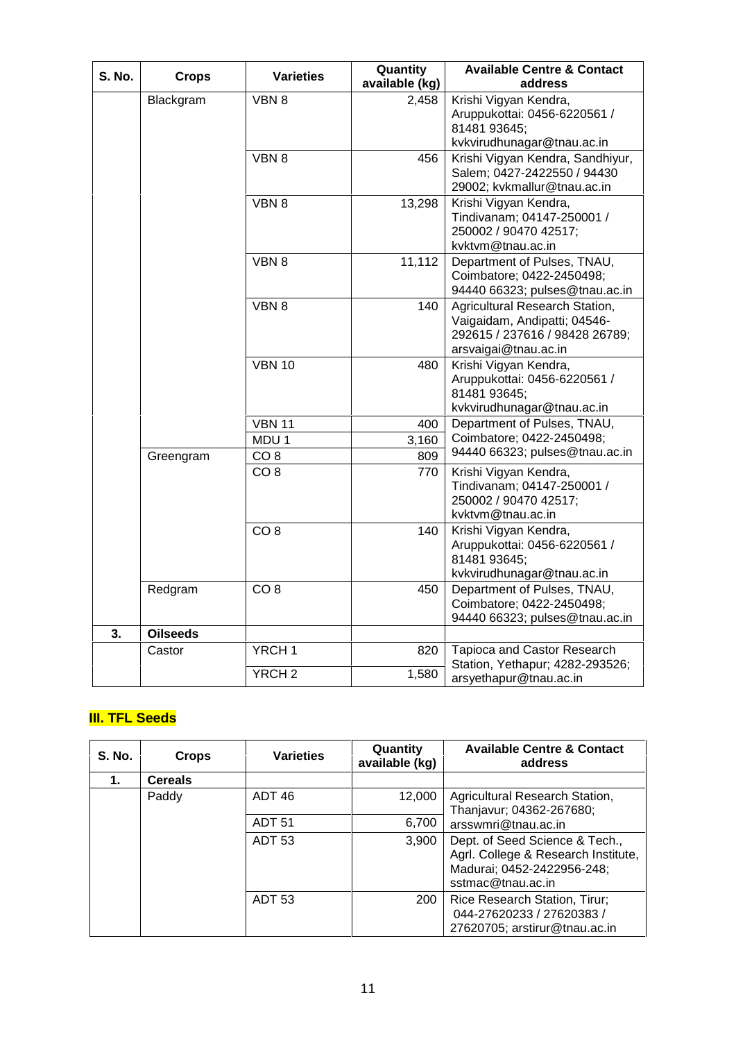| S. No. | <b>Crops</b>    | <b>Varieties</b>  | Quantity<br>available (kg) | <b>Available Centre &amp; Contact</b><br>address                                                                         |
|--------|-----------------|-------------------|----------------------------|--------------------------------------------------------------------------------------------------------------------------|
|        | Blackgram       | VBN 8             | 2,458                      | Krishi Vigyan Kendra,<br>Aruppukottai: 0456-6220561 /<br>81481 93645;<br>kvkvirudhunagar@tnau.ac.in                      |
|        |                 | VBN 8             | 456                        | Krishi Vigyan Kendra, Sandhiyur,<br>Salem; 0427-2422550 / 94430<br>29002; kvkmallur@tnau.ac.in                           |
|        |                 | VBN 8             | 13,298                     | Krishi Vigyan Kendra,<br>Tindivanam; 04147-250001 /<br>250002 / 90470 42517;<br>kvktvm@tnau.ac.in                        |
|        |                 | VBN 8             | 11,112                     | Department of Pulses, TNAU,<br>Coimbatore; 0422-2450498;<br>94440 66323; pulses@tnau.ac.in                               |
|        |                 | VBN 8             | 140                        | Agricultural Research Station,<br>Vaigaidam, Andipatti; 04546-<br>292615 / 237616 / 98428 26789;<br>arsvaigai@tnau.ac.in |
|        |                 | <b>VBN 10</b>     | 480                        | Krishi Vigyan Kendra,<br>Aruppukottai: 0456-6220561 /<br>81481 93645;<br>kvkvirudhunagar@tnau.ac.in                      |
|        |                 | <b>VBN 11</b>     | 400                        | Department of Pulses, TNAU,                                                                                              |
|        |                 | MDU <sub>1</sub>  | 3,160                      | Coimbatore; 0422-2450498;                                                                                                |
|        | Greengram       | CO <sub>8</sub>   | 809                        | 94440 66323; pulses@tnau.ac.in                                                                                           |
|        |                 | CO <sub>8</sub>   | 770                        | Krishi Vigyan Kendra,<br>Tindivanam; 04147-250001 /<br>250002 / 90470 42517;<br>kvktvm@tnau.ac.in                        |
|        |                 | CO <sub>8</sub>   | 140                        | Krishi Vigyan Kendra,<br>Aruppukottai: 0456-6220561 /<br>81481 93645;<br>kvkvirudhunagar@tnau.ac.in                      |
|        | Redgram         | CO <sub>8</sub>   | 450                        | Department of Pulses, TNAU,<br>Coimbatore; 0422-2450498;<br>94440 66323; pulses@tnau.ac.in                               |
| 3.     | <b>Oilseeds</b> |                   |                            |                                                                                                                          |
|        | Castor          | YRCH <sub>1</sub> | 820                        | Tapioca and Castor Research<br>Station, Yethapur; 4282-293526;                                                           |
|        |                 | YRCH <sub>2</sub> | 1,580                      | arsyethapur@tnau.ac.in                                                                                                   |

# **III. TFL Seeds**

| <b>S. No.</b> | <b>Crops</b>   | <b>Varieties</b>  | Quantity<br>available (kg) | <b>Available Centre &amp; Contact</b><br>address                                                                         |
|---------------|----------------|-------------------|----------------------------|--------------------------------------------------------------------------------------------------------------------------|
| 1.            | <b>Cereals</b> |                   |                            |                                                                                                                          |
|               | Paddy          | ADT <sub>46</sub> | 12,000                     | Agricultural Research Station,<br>Thanjavur; 04362-267680;                                                               |
|               |                | <b>ADT 51</b>     | 6,700                      | arsswmri@tnau.ac.in                                                                                                      |
|               |                | <b>ADT 53</b>     | 3,900                      | Dept. of Seed Science & Tech.,<br>Agrl. College & Research Institute,<br>Madurai; 0452-2422956-248;<br>sstmac@tnau.ac.in |
|               |                | <b>ADT 53</b>     | 200                        | Rice Research Station, Tirur;<br>044-27620233 / 27620383 /<br>27620705; arstirur@tnau.ac.in                              |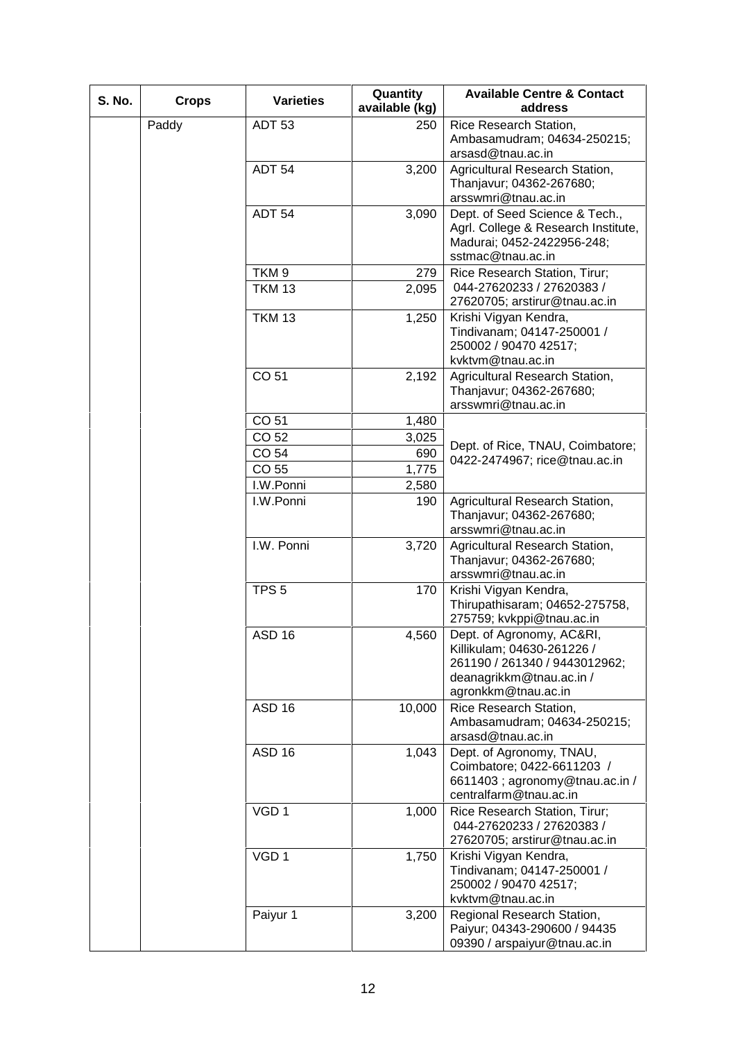| <b>S. No.</b> | <b>Crops</b> | <b>Varieties</b>  | Quantity<br>available (kg) | <b>Available Centre &amp; Contact</b><br>address                                                                                            |
|---------------|--------------|-------------------|----------------------------|---------------------------------------------------------------------------------------------------------------------------------------------|
|               | Paddy        | <b>ADT 53</b>     | 250                        | Rice Research Station,                                                                                                                      |
|               |              |                   |                            | Ambasamudram; 04634-250215;<br>arsasd@tnau.ac.in                                                                                            |
|               |              | <b>ADT 54</b>     | 3,200                      | Agricultural Research Station,<br>Thanjavur; 04362-267680;<br>arsswmri@tnau.ac.in                                                           |
|               |              | ADT <sub>54</sub> | 3,090                      | Dept. of Seed Science & Tech.,<br>Agrl. College & Research Institute,<br>Madurai; 0452-2422956-248;<br>sstmac@tnau.ac.in                    |
|               |              | TKM <sub>9</sub>  | 279                        | Rice Research Station, Tirur;                                                                                                               |
|               |              | <b>TKM 13</b>     | 2,095                      | 044-27620233 / 27620383 /<br>27620705; arstirur@tnau.ac.in                                                                                  |
|               |              | <b>TKM 13</b>     | 1,250                      | Krishi Vigyan Kendra,<br>Tindivanam; 04147-250001 /<br>250002 / 90470 42517;<br>kvktvm@tnau.ac.in                                           |
|               |              | CO 51             | 2,192                      | Agricultural Research Station,<br>Thanjavur; 04362-267680;<br>arsswmri@tnau.ac.in                                                           |
|               |              | CO 51             | 1,480                      |                                                                                                                                             |
|               |              | CO 52             | 3,025                      |                                                                                                                                             |
|               |              | CO 54             | 690                        | Dept. of Rice, TNAU, Coimbatore;<br>0422-2474967; rice@tnau.ac.in                                                                           |
|               |              | CO 55             | 1,775                      |                                                                                                                                             |
|               |              | I.W.Ponni         | 2,580                      |                                                                                                                                             |
|               |              | I.W.Ponni         | 190                        | Agricultural Research Station,<br>Thanjavur; 04362-267680;<br>arsswmri@tnau.ac.in                                                           |
|               |              | I.W. Ponni        | 3,720                      | Agricultural Research Station,<br>Thanjavur; 04362-267680;<br>arsswmri@tnau.ac.in                                                           |
|               |              | TPS <sub>5</sub>  | 170                        | Krishi Vigyan Kendra,<br>Thirupathisaram; 04652-275758,<br>275759; kvkppi@tnau.ac.in                                                        |
|               |              | ASD 16            | 4,560                      | Dept. of Agronomy, AC&RI,<br>Killikulam; 04630-261226 /<br>261190 / 261340 / 9443012962;<br>deanagrikkm@tnau.ac.in /<br>agronkkm@tnau.ac.in |
|               |              | <b>ASD 16</b>     | 10,000                     | Rice Research Station,<br>Ambasamudram; 04634-250215;<br>arsasd@tnau.ac.in                                                                  |
|               |              | <b>ASD 16</b>     | 1,043                      | Dept. of Agronomy, TNAU,<br>Coimbatore; 0422-6611203 /<br>6611403; agronomy@tnau.ac.in /<br>centralfarm@tnau.ac.in                          |
|               |              | VGD <sub>1</sub>  | 1,000                      | Rice Research Station, Tirur;<br>044-27620233 / 27620383 /<br>27620705; arstirur@tnau.ac.in                                                 |
|               |              | VGD <sub>1</sub>  | 1,750                      | Krishi Vigyan Kendra,<br>Tindivanam; 04147-250001 /<br>250002 / 90470 42517;<br>kvktvm@tnau.ac.in                                           |
|               |              | Paiyur 1          | 3,200                      | Regional Research Station,<br>Paiyur; 04343-290600 / 94435<br>09390 / arspaiyur@tnau.ac.in                                                  |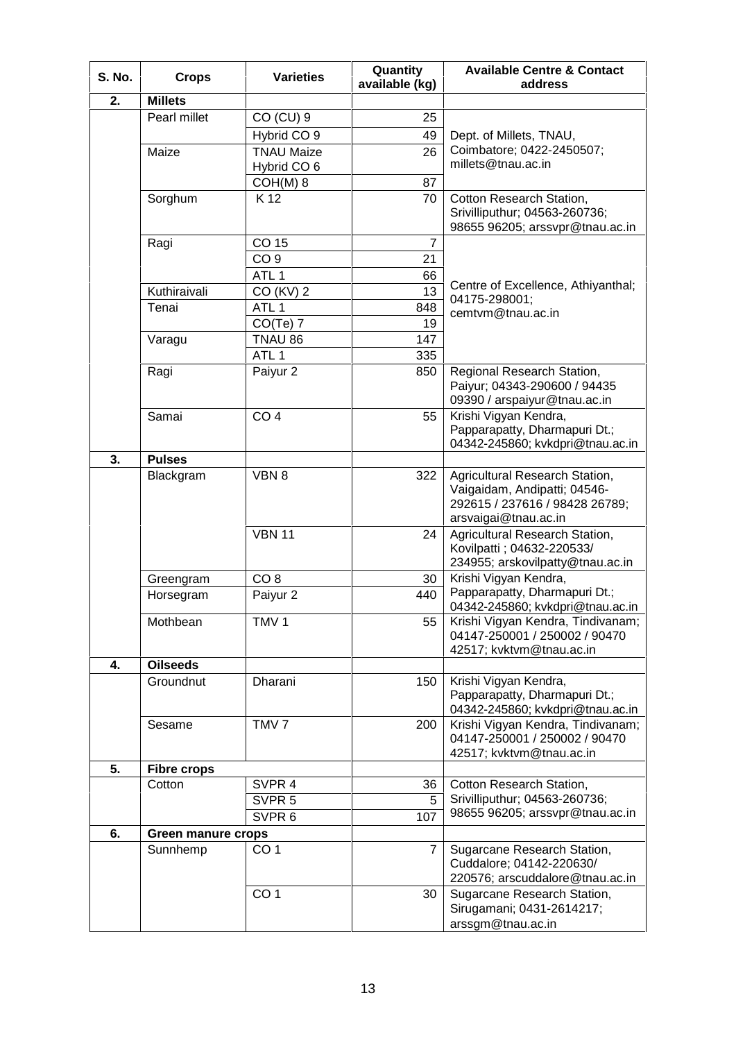| <b>S. No.</b> | <b>Crops</b>       | <b>Varieties</b>       | Quantity<br>available (kg) | <b>Available Centre &amp; Contact</b><br>address                   |
|---------------|--------------------|------------------------|----------------------------|--------------------------------------------------------------------|
| 2.            | <b>Millets</b>     |                        |                            |                                                                    |
|               | Pearl millet       | CO (CU) 9              | 25                         |                                                                    |
|               |                    | Hybrid CO <sub>9</sub> | 49                         | Dept. of Millets, TNAU,                                            |
|               | Maize              | <b>TNAU Maize</b>      | 26                         | Coimbatore; 0422-2450507;                                          |
|               |                    | Hybrid CO 6            |                            | millets@tnau.ac.in                                                 |
|               |                    | $COH(M)$ 8             | 87                         |                                                                    |
|               | Sorghum            | K 12                   | 70                         | Cotton Research Station,                                           |
|               |                    |                        |                            | Srivilliputhur; 04563-260736;<br>98655 96205; arssvpr@tnau.ac.in   |
|               | Ragi               | CO 15                  | $\overline{7}$             |                                                                    |
|               |                    | CO <sub>9</sub>        | 21                         |                                                                    |
|               |                    | ATL <sub>1</sub>       | 66                         |                                                                    |
|               | Kuthiraivali       | CO (KV) 2              | 13                         | Centre of Excellence, Athiyanthal;                                 |
|               | Tenai              | ATL <sub>1</sub>       | 848                        | 04175-298001;                                                      |
|               |                    | $CO(Te)$ 7             | 19                         | cemtvm@tnau.ac.in                                                  |
|               | Varagu             | TNAU 86                | 147                        |                                                                    |
|               |                    | ATL <sub>1</sub>       | 335                        |                                                                    |
|               | Ragi               | Paiyur 2               | 850                        | Regional Research Station,                                         |
|               |                    |                        |                            | Paiyur; 04343-290600 / 94435                                       |
|               |                    |                        |                            | 09390 / arspaiyur@tnau.ac.in                                       |
|               | Samai              | CO <sub>4</sub>        | 55                         | Krishi Vigyan Kendra,                                              |
|               |                    |                        |                            | Papparapatty, Dharmapuri Dt.;                                      |
|               |                    |                        |                            | 04342-245860; kvkdpri@tnau.ac.in                                   |
| 3.            | <b>Pulses</b>      |                        |                            |                                                                    |
|               | Blackgram          | VBN 8                  | 322                        | Agricultural Research Station,                                     |
|               |                    |                        |                            | Vaigaidam, Andipatti; 04546-                                       |
|               |                    |                        |                            | 292615 / 237616 / 98428 26789;                                     |
|               |                    |                        |                            | arsvaigai@tnau.ac.in                                               |
|               |                    | <b>VBN 11</b>          | 24                         | Agricultural Research Station,                                     |
|               |                    |                        |                            | Kovilpatti ; 04632-220533/<br>234955; arskovilpatty@tnau.ac.in     |
|               | Greengram          | CO <sub>8</sub>        | 30                         | Krishi Vigyan Kendra,                                              |
|               | Horsegram          | Paiyur 2               | 440                        | Papparapatty, Dharmapuri Dt.;                                      |
|               |                    |                        |                            | 04342-245860; kvkdpri@tnau.ac.in                                   |
|               | Mothbean           | TMV <sub>1</sub>       | 55                         | Krishi Vigyan Kendra, Tindivanam;                                  |
|               |                    |                        |                            | 04147-250001 / 250002 / 90470                                      |
|               |                    |                        |                            | 42517; kvktvm@tnau.ac.in                                           |
| 4.            | <b>Oilseeds</b>    |                        |                            |                                                                    |
|               | Groundnut          | Dharani                | 150                        | Krishi Vigyan Kendra,                                              |
|               |                    |                        |                            | Papparapatty, Dharmapuri Dt.;                                      |
|               |                    |                        |                            | 04342-245860; kvkdpri@tnau.ac.in                                   |
|               | Sesame             | TMV <sub>7</sub>       | 200                        | Krishi Vigyan Kendra, Tindivanam;<br>04147-250001 / 250002 / 90470 |
|               |                    |                        |                            | 42517; kvktvm@tnau.ac.in                                           |
| 5.            | <b>Fibre crops</b> |                        |                            |                                                                    |
|               | Cotton             | SVPR 4                 | 36                         | Cotton Research Station,                                           |
|               |                    | SVPR <sub>5</sub>      | 5                          | Srivilliputhur; 04563-260736;                                      |
|               |                    | SVPR <sub>6</sub>      | 107                        | 98655 96205; arssvpr@tnau.ac.in                                    |
| 6.            |                    |                        |                            |                                                                    |
|               | Green manure crops |                        |                            |                                                                    |
|               | Sunnhemp           | CO <sub>1</sub>        | $\overline{7}$             | Sugarcane Research Station,<br>Cuddalore; 04142-220630/            |
|               |                    |                        |                            | 220576; arscuddalore@tnau.ac.in                                    |
|               |                    | CO <sub>1</sub>        | 30                         | Sugarcane Research Station,                                        |
|               |                    |                        |                            | Sirugamani; 0431-2614217;                                          |
|               |                    |                        |                            | arssgm@tnau.ac.in                                                  |
|               |                    |                        |                            |                                                                    |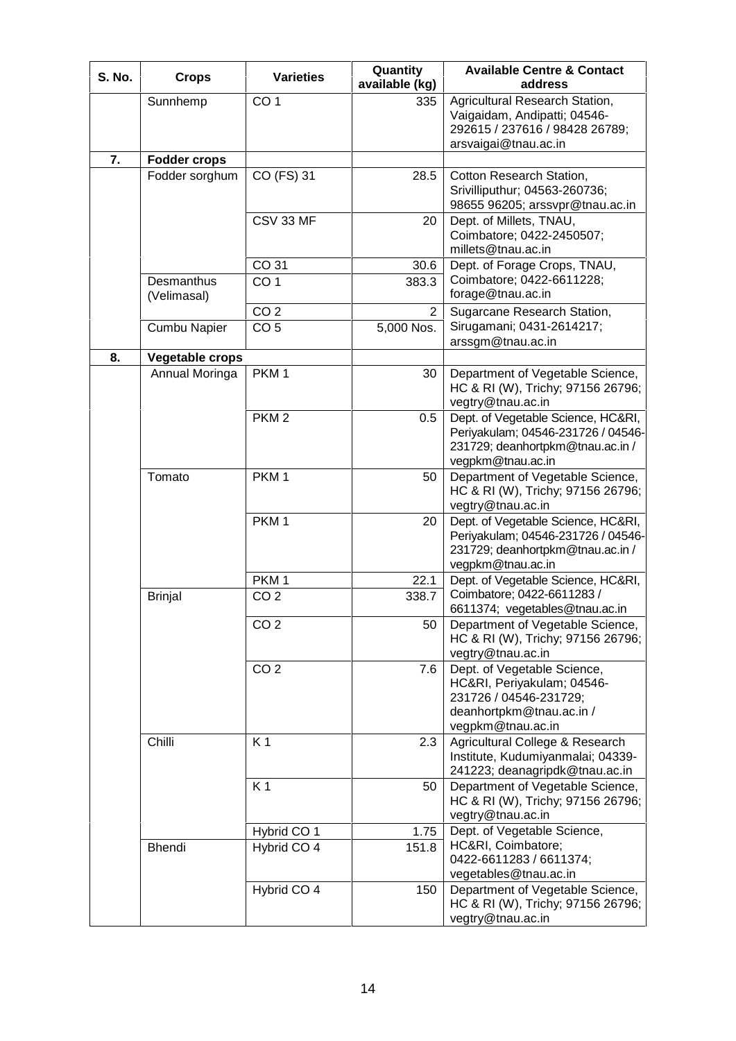| <b>S. No.</b> | <b>Crops</b>              | <b>Varieties</b> | Quantity<br>available (kg) | <b>Available Centre &amp; Contact</b><br>address                                                                                     |
|---------------|---------------------------|------------------|----------------------------|--------------------------------------------------------------------------------------------------------------------------------------|
|               | Sunnhemp                  | CO <sub>1</sub>  | 335                        | Agricultural Research Station,                                                                                                       |
|               |                           |                  |                            | Vaigaidam, Andipatti; 04546-<br>292615 / 237616 / 98428 26789;                                                                       |
|               |                           |                  |                            | arsvaigai@tnau.ac.in                                                                                                                 |
| 7.            | <b>Fodder crops</b>       |                  |                            |                                                                                                                                      |
|               | Fodder sorghum            | CO (FS) 31       | 28.5                       | Cotton Research Station,<br>Srivilliputhur; 04563-260736;<br>98655 96205; arssvpr@tnau.ac.in                                         |
|               |                           | CSV 33 MF        | 20                         | Dept. of Millets, TNAU,<br>Coimbatore; 0422-2450507;<br>millets@tnau.ac.in                                                           |
|               |                           | CO 31            | 30.6                       | Dept. of Forage Crops, TNAU,                                                                                                         |
|               | Desmanthus<br>(Velimasal) | CO <sub>1</sub>  | 383.3                      | Coimbatore; 0422-6611228;<br>forage@tnau.ac.in                                                                                       |
|               |                           | CO <sub>2</sub>  | $\overline{2}$             | Sugarcane Research Station,                                                                                                          |
|               | Cumbu Napier              | CO <sub>5</sub>  | 5,000 Nos.                 | Sirugamani; 0431-2614217;<br>arssgm@tnau.ac.in                                                                                       |
| 8.            | Vegetable crops           |                  |                            |                                                                                                                                      |
|               | Annual Moringa            | PKM <sub>1</sub> | 30                         | Department of Vegetable Science,<br>HC & RI (W), Trichy; 97156 26796;<br>vegtry@tnau.ac.in                                           |
|               |                           | PKM <sub>2</sub> | 0.5                        | Dept. of Vegetable Science, HC&RI,<br>Periyakulam; 04546-231726 / 04546-<br>231729; deanhortpkm@tnau.ac.in /<br>vegpkm@tnau.ac.in    |
|               | Tomato                    | PKM <sub>1</sub> | 50                         | Department of Vegetable Science,<br>HC & RI (W), Trichy; 97156 26796;<br>vegtry@tnau.ac.in                                           |
|               |                           | PKM <sub>1</sub> | 20                         | Dept. of Vegetable Science, HC&RI,<br>Periyakulam; 04546-231726 / 04546-<br>231729; deanhortpkm@tnau.ac.in /<br>vegpkm@tnau.ac.in    |
|               |                           | PKM <sub>1</sub> | 22.1                       | Dept. of Vegetable Science, HC&RI,                                                                                                   |
|               | <b>Brinjal</b>            | CO <sub>2</sub>  | 338.7                      | Coimbatore; 0422-6611283 /<br>6611374; vegetables@tnau.ac.in                                                                         |
|               |                           | CO <sub>2</sub>  | 50                         | Department of Vegetable Science,<br>HC & RI (W), Trichy; 97156 26796;<br>vegtry@tnau.ac.in                                           |
|               |                           | CO <sub>2</sub>  | 7.6                        | Dept. of Vegetable Science,<br>HC&RI, Periyakulam; 04546-<br>231726 / 04546-231729;<br>deanhortpkm@tnau.ac.in /<br>vegpkm@tnau.ac.in |
|               | Chilli                    | K <sub>1</sub>   | 2.3                        | Agricultural College & Research<br>Institute, Kudumiyanmalai; 04339-<br>241223; deanagripdk@tnau.ac.in                               |
|               |                           | K <sub>1</sub>   | 50                         | Department of Vegetable Science,<br>HC & RI (W), Trichy; 97156 26796;<br>vegtry@tnau.ac.in                                           |
|               |                           | Hybrid CO 1      | 1.75                       | Dept. of Vegetable Science,                                                                                                          |
|               | Bhendi                    | Hybrid CO 4      | 151.8                      | HC&RI, Coimbatore;<br>0422-6611283 / 6611374;<br>vegetables@tnau.ac.in                                                               |
|               |                           | Hybrid CO 4      | 150                        | Department of Vegetable Science,<br>HC & RI (W), Trichy; 97156 26796;<br>vegtry@tnau.ac.in                                           |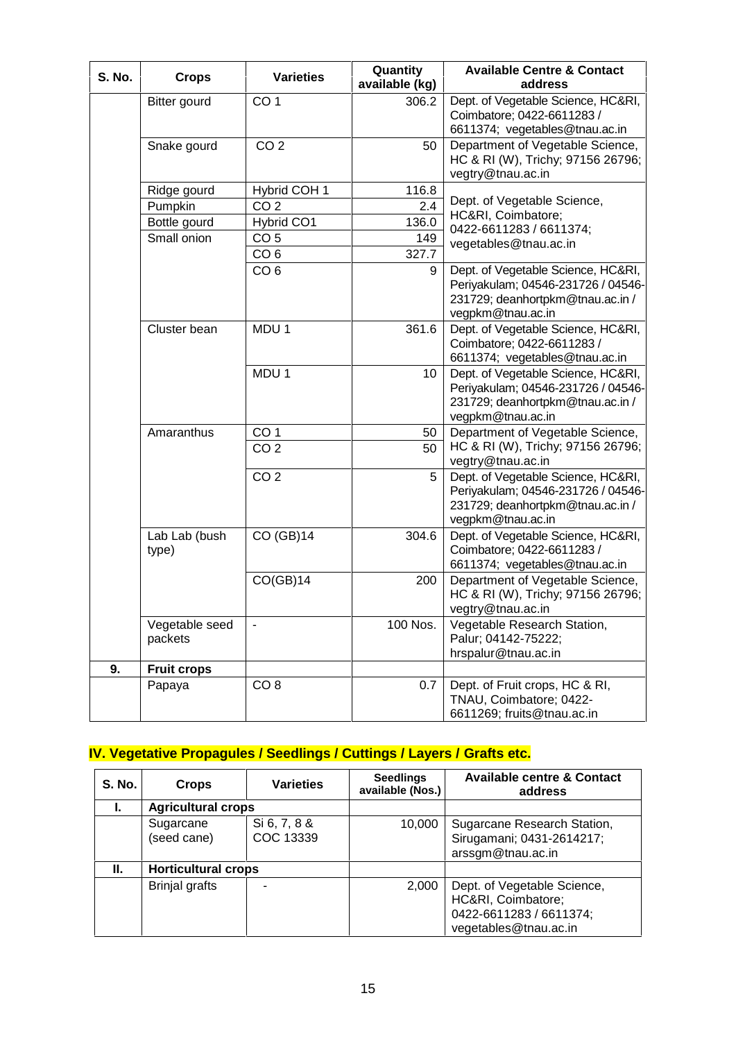| <b>S. No.</b> | <b>Crops</b>              | <b>Varieties</b> | Quantity<br>available (kg) | <b>Available Centre &amp; Contact</b><br>address                                                                                  |
|---------------|---------------------------|------------------|----------------------------|-----------------------------------------------------------------------------------------------------------------------------------|
|               | Bitter gourd              | CO <sub>1</sub>  | 306.2                      | Dept. of Vegetable Science, HC&RI,<br>Coimbatore; 0422-6611283 /<br>6611374; vegetables@tnau.ac.in                                |
|               | Snake gourd               | CO <sub>2</sub>  | 50                         | Department of Vegetable Science,<br>HC & RI (W), Trichy; 97156 26796;<br>vegtry@tnau.ac.in                                        |
|               | Ridge gourd               | Hybrid COH 1     | 116.8                      |                                                                                                                                   |
|               | Pumpkin                   | CO <sub>2</sub>  | 2.4                        | Dept. of Vegetable Science,                                                                                                       |
|               | Bottle gourd              | Hybrid CO1       | 136.0                      | HC&RI, Coimbatore;                                                                                                                |
|               | Small onion               | CO <sub>5</sub>  | 149                        | 0422-6611283 / 6611374;<br>vegetables@tnau.ac.in                                                                                  |
|               |                           | CO <sub>6</sub>  | 327.7                      |                                                                                                                                   |
|               |                           | CO <sub>6</sub>  | 9                          | Dept. of Vegetable Science, HC&RI,<br>Periyakulam; 04546-231726 / 04546-<br>231729; deanhortpkm@tnau.ac.in /<br>vegpkm@tnau.ac.in |
|               | Cluster bean              | MDU <sub>1</sub> | 361.6                      | Dept. of Vegetable Science, HC&RI,<br>Coimbatore; 0422-6611283 /<br>6611374; vegetables@tnau.ac.in                                |
|               |                           | MDU <sub>1</sub> | 10                         | Dept. of Vegetable Science, HC&RI,<br>Periyakulam; 04546-231726 / 04546-<br>231729; deanhortpkm@tnau.ac.in /<br>vegpkm@tnau.ac.in |
|               | Amaranthus                | CO <sub>1</sub>  | 50                         | Department of Vegetable Science,                                                                                                  |
|               |                           | CO <sub>2</sub>  | 50                         | HC & RI (W), Trichy; 97156 26796;<br>vegtry@tnau.ac.in                                                                            |
|               |                           | CO <sub>2</sub>  | 5                          | Dept. of Vegetable Science, HC&RI,<br>Periyakulam; 04546-231726 / 04546-<br>231729; deanhortpkm@tnau.ac.in /<br>vegpkm@tnau.ac.in |
|               | Lab Lab (bush<br>type)    | CO (GB)14        | 304.6                      | Dept. of Vegetable Science, HC&RI,<br>Coimbatore; 0422-6611283 /<br>6611374; vegetables@tnau.ac.in                                |
|               |                           | CO(GB)14         | 200                        | Department of Vegetable Science,<br>HC & RI (W), Trichy; 97156 26796;<br>vegtry@tnau.ac.in                                        |
|               | Vegetable seed<br>packets |                  | 100 Nos.                   | Vegetable Research Station,<br>Palur; 04142-75222;<br>hrspalur@tnau.ac.in                                                         |
| 9.            | <b>Fruit crops</b>        |                  |                            |                                                                                                                                   |
|               | Papaya                    | CO <sub>8</sub>  | 0.7                        | Dept. of Fruit crops, HC & RI,<br>TNAU, Coimbatore; 0422-<br>6611269; fruits@tnau.ac.in                                           |

# **IV. Vegetative Propagules / Seedlings / Cuttings / Layers / Grafts etc.**

| <b>S. No.</b> | <b>Crops</b>               | <b>Varieties</b>          | <b>Seedlings</b><br>available (Nos.) | <b>Available centre &amp; Contact</b><br>address                                                      |
|---------------|----------------------------|---------------------------|--------------------------------------|-------------------------------------------------------------------------------------------------------|
| ı.            | <b>Agricultural crops</b>  |                           |                                      |                                                                                                       |
|               | Sugarcane<br>(seed cane)   | Si 6, 7, 8 &<br>COC 13339 | 10,000                               | Sugarcane Research Station,<br>Sirugamani; 0431-2614217;<br>arssgm@tnau.ac.in                         |
| Н.            | <b>Horticultural crops</b> |                           |                                      |                                                                                                       |
|               | <b>Brinjal grafts</b>      |                           | 2,000                                | Dept. of Vegetable Science,<br>HC&RI, Coimbatore;<br>0422-6611283 / 6611374;<br>vegetables@tnau.ac.in |